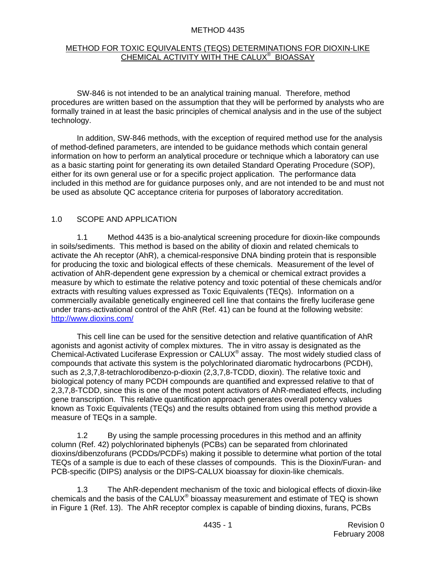#### METHOD 4435

#### METHOD FOR TOXIC EQUIVALENTS (TEQS) DETERMINATIONS FOR DIOXIN-LIKE CHEMICAL ACTIVITY WITH THE CALUX® BIOASSAY

 SW-846 is not intended to be an analytical training manual. Therefore, method procedures are written based on the assumption that they will be performed by analysts who are formally trained in at least the basic principles of chemical analysis and in the use of the subject technology.

 In addition, SW-846 methods, with the exception of required method use for the analysis of method-defined parameters, are intended to be guidance methods which contain general information on how to perform an analytical procedure or technique which a laboratory can use as a basic starting point for generating its own detailed Standard Operating Procedure (SOP), either for its own general use or for a specific project application. The performance data included in this method are for guidance purposes only, and are not intended to be and must not be used as absolute QC acceptance criteria for purposes of laboratory accreditation.

#### 1.0 SCOPE AND APPLICATION

 1.1 Method 4435 is a bio-analytical screening procedure for dioxin-like compounds in soils/sediments. This method is based on the ability of dioxin and related chemicals to activate the Ah receptor (AhR), a chemical-responsive DNA binding protein that is responsible for producing the toxic and biological effects of these chemicals. Measurement of the level of activation of AhR-dependent gene expression by a chemical or chemical extract provides a measure by which to estimate the relative potency and toxic potential of these chemicals and/or extracts with resulting values expressed as Toxic Equivalents (TEQs). Information on a commercially available genetically engineered cell line that contains the firefly luciferase gene under trans-activational control of the AhR (Ref. 41) can be found at the following website: http://www.dioxins.com/

 This cell line can be used for the sensitive detection and relative quantification of AhR agonists and agonist activity of complex mixtures. The in vitro assay is designated as the Chemical-Activated Luciferase Expression or CALUX® assay. The most widely studied class of compounds that activate this system is the polychlorinated diaromatic hydrocarbons (PCDH), such as 2,3,7,8-tetrachlorodibenzo-p-dioxin (2,3,7,8-TCDD, dioxin). The relative toxic and biological potency of many PCDH compounds are quantified and expressed relative to that of 2,3,7,8-TCDD, since this is one of the most potent activators of AhR-mediated effects, including gene transcription. This relative quantification approach generates overall potency values known as Toxic Equivalents (TEQs) and the results obtained from using this method provide a measure of TEQs in a sample.

 1.2 By using the sample processing procedures in this method and an affinity column (Ref. 42) polychlorinated biphenyls (PCBs) can be separated from chlorinated dioxins/dibenzofurans (PCDDs/PCDFs) making it possible to determine what portion of the total TEQs of a sample is due to each of these classes of compounds. This is the Dioxin/Furan- and PCB-specific (DIPS) analysis or the DIPS-CALUX bioassay for dioxin-like chemicals.

 1.3 The AhR-dependent mechanism of the toxic and biological effects of dioxin-like chemicals and the basis of the CALUX® bioassay measurement and estimate of TEQ is shown in Figure 1 (Ref. 13). The AhR receptor complex is capable of binding dioxins, furans, PCBs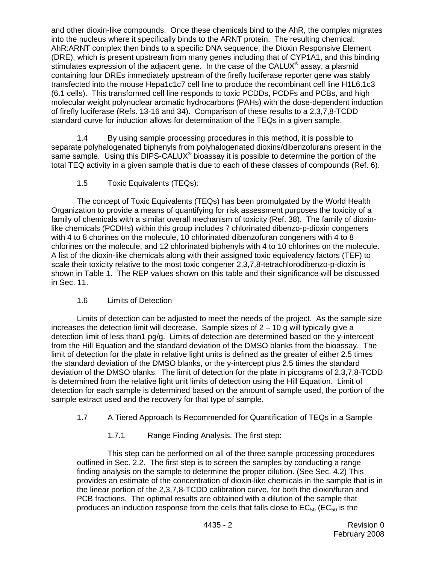and other dioxin-like compounds. Once these chemicals bind to the AhR, the complex migrates into the nucleus where it specifically binds to the ARNT protein. The resulting chemical: AhR:ARNT complex then binds to a specific DNA sequence, the Dioxin Responsive Element (DRE), which is present upstream from many genes including that of CYP1A1, and this binding stimulates expression of the adjacent gene. In the case of the CALUX® assay, a plasmid containing four DREs immediately upstream of the firefly luciferase reporter gene was stably transfected into the mouse Hepa1c1c7 cell line to produce the recombinant cell line H1L6.1c3 (6.1 cells). This transformed cell line responds to toxic PCDDs, PCDFs and PCBs, and high molecular weight polynuclear aromatic hydrocarbons (PAHs) with the dose-dependent induction of firefly luciferase (Refs. 13-16 and 34). Comparison of these results to a 2,3,7,8-TCDD standard curve for induction allows for determination of the TEQs in a given sample.

 1.4 By using sample processing procedures in this method, it is possible to separate polyhalogenated biphenyls from polyhalogenated dioxins/dibenzofurans present in the same sample. Using this DIPS-CALUX<sup>®</sup> bioassay it is possible to determine the portion of the total TEQ activity in a given sample that is due to each of these classes of compounds (Ref. 6).

1.5 Toxic Equivalents (TEQs):

 The concept of Toxic Equivalents (TEQs) has been promulgated by the World Health Organization to provide a means of quantifying for risk assessment purposes the toxicity of a family of chemicals with a similar overall mechanism of toxicity (Ref. 38). The family of dioxinlike chemicals (PCDHs) within this group includes 7 chlorinated dibenzo-p-dioxin congeners with 4 to 8 chorines on the molecule, 10 chlorinated dibenzofuran congeners with 4 to 8 chlorines on the molecule, and 12 chlorinated biphenyls with 4 to 10 chlorines on the molecule. A list of the dioxin-like chemicals along with their assigned toxic equivalency factors (TEF) to scale their toxicity relative to the most toxic congener 2,3,7,8-tetrachlorodibenzo-p-dioxin is shown in Table 1. The REP values shown on this table and their significance will be discussed in Sec. 11.

# 1.6 Limits of Detection

 Limits of detection can be adjusted to meet the needs of the project. As the sample size increases the detection limit will decrease. Sample sizes of  $2 - 10$  g will typically give a detection limit of less than1 pg/g. Limits of detection are determined based on the y-intercept from the Hill Equation and the standard deviation of the DMSO blanks from the bioassay. The limit of detection for the plate in relative light units is defined as the greater of either 2.5 times the standard deviation of the DMSO blanks, or the y-intercept plus 2.5 times the standard deviation of the DMSO blanks. The limit of detection for the plate in picograms of 2,3,7,8-TCDD is determined from the relative light unit limits of detection using the Hill Equation. Limit of detection for each sample is determined based on the amount of sample used, the portion of the sample extract used and the recovery for that type of sample.

- 1.7 A Tiered Approach Is Recommended for Quantification of TEQs in a Sample
	- 1.7.1 Range Finding Analysis, The first step:

 This step can be performed on all of the three sample processing procedures outlined in Sec. 2.2. The first step is to screen the samples by conducting a range finding analysis on the sample to determine the proper dilution. (See Sec. 4.2) This provides an estimate of the concentration of dioxin-like chemicals in the sample that is in the linear portion of the 2,3,7,8-TCDD calibration curve, for both the dioxin/furan and PCB fractions. The optimal results are obtained with a dilution of the sample that produces an induction response from the cells that falls close to  $EC_{50}$  ( $EC_{50}$  is the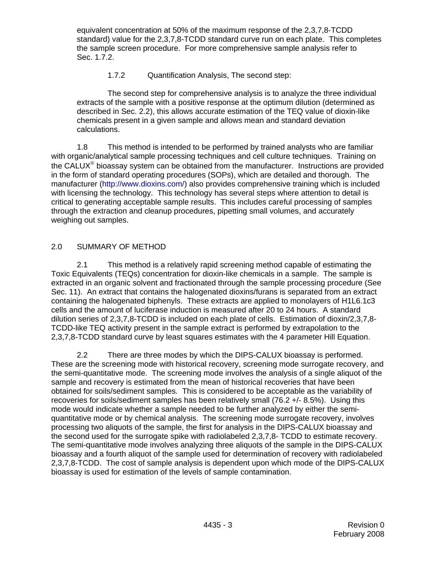equivalent concentration at 50% of the maximum response of the 2,3,7,8-TCDD standard) value for the 2,3,7,8-TCDD standard curve run on each plate. This completes the sample screen procedure. For more comprehensive sample analysis refer to Sec. 1.7.2.

# 1.7.2 Quantification Analysis, The second step:

 The second step for comprehensive analysis is to analyze the three individual extracts of the sample with a positive response at the optimum dilution (determined as described in Sec. 2.2), this allows accurate estimation of the TEQ value of dioxin-like chemicals present in a given sample and allows mean and standard deviation calculations.

 1.8 This method is intended to be performed by trained analysts who are familiar with organic/analytical sample processing techniques and cell culture techniques. Training on the CALUX® bioassay system can be obtained from the manufacturer. Instructions are provided in the form of standard operating procedures (SOPs), which are detailed and thorough. The manufacturer (<http://www.dioxins.com/>) also provides comprehensive training which is included with licensing the technology. This technology has several steps where attention to detail is critical to generating acceptable sample results. This includes careful processing of samples through the extraction and cleanup procedures, pipetting small volumes, and accurately weighing out samples.

# 2.0 SUMMARY OF METHOD

 2.1 This method is a relatively rapid screening method capable of estimating the Toxic Equivalents (TEQs) concentration for dioxin-like chemicals in a sample. The sample is extracted in an organic solvent and fractionated through the sample processing procedure (See Sec. 11). An extract that contains the halogenated dioxins/furans is separated from an extract containing the halogenated biphenyls. These extracts are applied to monolayers of H1L6.1c3 cells and the amount of luciferase induction is measured after 20 to 24 hours. A standard dilution series of 2,3,7,8-TCDD is included on each plate of cells. Estimation of dioxin/2,3,7,8- TCDD-like TEQ activity present in the sample extract is performed by extrapolation to the 2,3,7,8-TCDD standard curve by least squares estimates with the 4 parameter Hill Equation.

 2.2 There are three modes by which the DIPS-CALUX bioassay is performed. These are the screening mode with historical recovery, screening mode surrogate recovery, and the semi-quantitative mode. The screening mode involves the analysis of a single aliquot of the sample and recovery is estimated from the mean of historical recoveries that have been obtained for soils/sediment samples. This is considered to be acceptable as the variability of recoveries for soils/sediment samples has been relatively small (76.2 +/- 8.5%). Using this mode would indicate whether a sample needed to be further analyzed by either the semiquantitative mode or by chemical analysis. The screening mode surrogate recovery, involves processing two aliquots of the sample, the first for analysis in the DIPS-CALUX bioassay and the second used for the surrogate spike with radiolabeled 2,3,7,8- TCDD to estimate recovery. The semi-quantitative mode involves analyzing three aliquots of the sample in the DIPS-CALUX bioassay and a fourth aliquot of the sample used for determination of recovery with radiolabeled 2,3,7,8-TCDD. The cost of sample analysis is dependent upon which mode of the DIPS-CALUX bioassay is used for estimation of the levels of sample contamination.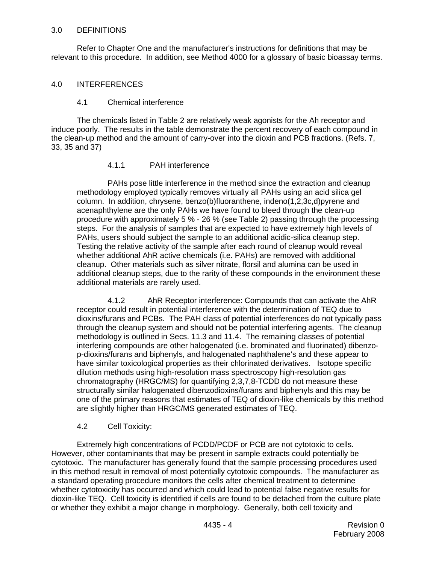#### 3.0 DEFINITIONS

 Refer to Chapter One and the manufacturer's instructions for definitions that may be relevant to this procedure. In addition, see Method 4000 for a glossary of basic bioassay terms.

#### 4.0 INTERFERENCES

#### 4.1 Chemical interference

 The chemicals listed in Table 2 are relatively weak agonists for the Ah receptor and induce poorly. The results in the table demonstrate the percent recovery of each compound in the clean-up method and the amount of carry-over into the dioxin and PCB fractions. (Refs. 7, 33, 35 and 37)

#### 4.1.1 PAH interference

 PAHs pose little interference in the method since the extraction and cleanup methodology employed typically removes virtually all PAHs using an acid silica gel column. In addition, chrysene, benzo(b)fluoranthene, indeno(1,2,3c,d)pyrene and acenaphthylene are the only PAHs we have found to bleed through the clean-up procedure with approximately 5 % - 26 % (see Table 2) passing through the processing steps. For the analysis of samples that are expected to have extremely high levels of PAHs, users should subject the sample to an additional acidic-silica cleanup step. Testing the relative activity of the sample after each round of cleanup would reveal whether additional AhR active chemicals (i.e. PAHs) are removed with additional cleanup. Other materials such as silver nitrate, florsil and alumina can be used in additional cleanup steps, due to the rarity of these compounds in the environment these additional materials are rarely used.

 4.1.2 AhR Receptor interference: Compounds that can activate the AhR receptor could result in potential interference with the determination of TEQ due to dioxins/furans and PCBs. The PAH class of potential interferences do not typically pass through the cleanup system and should not be potential interfering agents. The cleanup methodology is outlined in Secs. 11.3 and 11.4. The remaining classes of potential interfering compounds are other halogenated (i.e. brominated and fluorinated) dibenzop-dioxins/furans and biphenyls, and halogenated naphthalene's and these appear to have similar toxicological properties as their chlorinated derivatives. Isotope specific dilution methods using high-resolution mass spectroscopy high-resolution gas chromatography (HRGC/MS) for quantifying 2,3,7,8-TCDD do not measure these structurally similar halogenated dibenzodioxins/furans and biphenyls and this may be one of the primary reasons that estimates of TEQ of dioxin-like chemicals by this method are slightly higher than HRGC/MS generated estimates of TEQ.

#### 4.2 Cell Toxicity:

 Extremely high concentrations of PCDD/PCDF or PCB are not cytotoxic to cells. However, other contaminants that may be present in sample extracts could potentially be cytotoxic. The manufacturer has generally found that the sample processing procedures used in this method result in removal of most potentially cytotoxic compounds. The manufacturer as a standard operating procedure monitors the cells after chemical treatment to determine whether cytotoxicity has occurred and which could lead to potential false negative results for dioxin-like TEQ. Cell toxicity is identified if cells are found to be detached from the culture plate or whether they exhibit a major change in morphology. Generally, both cell toxicity and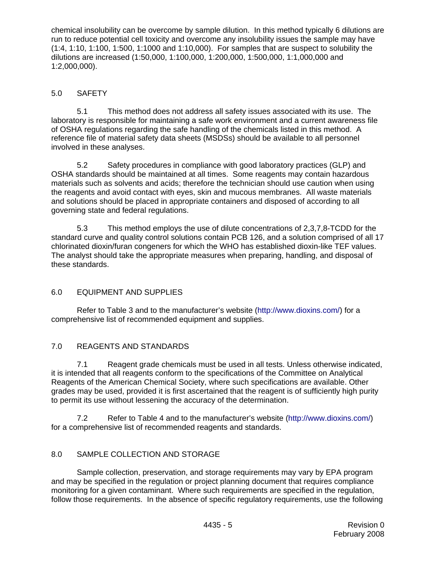chemical insolubility can be overcome by sample dilution. In this method typically 6 dilutions are run to reduce potential cell toxicity and overcome any insolubility issues the sample may have (1:4, 1:10, 1:100, 1:500, 1:1000 and 1:10,000). For samples that are suspect to solubility the dilutions are increased (1:50,000, 1:100,000, 1:200,000, 1:500,000, 1:1,000,000 and 1:2,000,000).

# 5.0 SAFETY

 5.1 This method does not address all safety issues associated with its use. The laboratory is responsible for maintaining a safe work environment and a current awareness file of OSHA regulations regarding the safe handling of the chemicals listed in this method. A reference file of material safety data sheets (MSDSs) should be available to all personnel involved in these analyses.

 5.2 Safety procedures in compliance with good laboratory practices (GLP) and OSHA standards should be maintained at all times. Some reagents may contain hazardous materials such as solvents and acids; therefore the technician should use caution when using the reagents and avoid contact with eyes, skin and mucous membranes. All waste materials and solutions should be placed in appropriate containers and disposed of according to all governing state and federal regulations.

 5.3 This method employs the use of dilute concentrations of 2,3,7,8-TCDD for the standard curve and quality control solutions contain PCB 126, and a solution comprised of all 17 chlorinated dioxin/furan congeners for which the WHO has established dioxin-like TEF values. The analyst should take the appropriate measures when preparing, handling, and disposal of these standards.

# 6.0 EQUIPMENT AND SUPPLIES

 Refer to Table 3 and to the manufacturer's website (<http://www.dioxins.com/>) for a comprehensive list of recommended equipment and supplies.

# 7.0 REAGENTS AND STANDARDS

 7.1 Reagent grade chemicals must be used in all tests. Unless otherwise indicated, it is intended that all reagents conform to the specifications of the Committee on Analytical Reagents of the American Chemical Society, where such specifications are available. Other grades may be used, provided it is first ascertained that the reagent is of sufficiently high purity to permit its use without lessening the accuracy of the determination.

 7.2 Refer to Table 4 and to the manufacturer's website (<http://www.dioxins.com/>) for a comprehensive list of recommended reagents and standards.

# 8.0 SAMPLE COLLECTION AND STORAGE

 Sample collection, preservation, and storage requirements may vary by EPA program and may be specified in the regulation or project planning document that requires compliance monitoring for a given contaminant. Where such requirements are specified in the regulation, follow those requirements. In the absence of specific regulatory requirements, use the following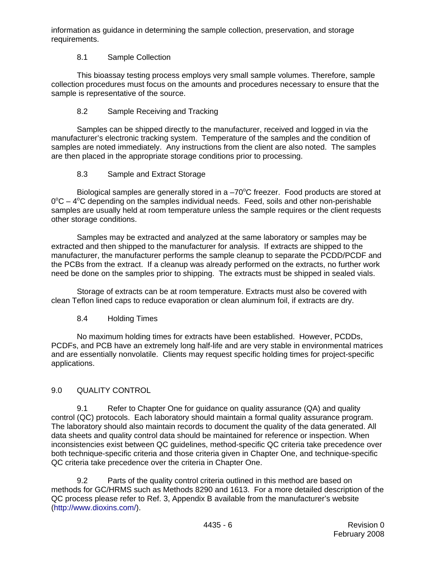information as guidance in determining the sample collection, preservation, and storage requirements.

# 8.1 Sample Collection

 This bioassay testing process employs very small sample volumes. Therefore, sample collection procedures must focus on the amounts and procedures necessary to ensure that the sample is representative of the source.

# 8.2 Sample Receiving and Tracking

 Samples can be shipped directly to the manufacturer, received and logged in via the manufacturer's electronic tracking system. Temperature of the samples and the condition of samples are noted immediately. Any instructions from the client are also noted. The samples are then placed in the appropriate storage conditions prior to processing.

# 8.3 Sample and Extract Storage

Biological samples are generally stored in a  $-70^{\circ}$ C freezer. Food products are stored at  $0^{\circ}$ C – 4 $^{\circ}$ C depending on the samples individual needs. Feed, soils and other non-perishable samples are usually held at room temperature unless the sample requires or the client requests other storage conditions.

 Samples may be extracted and analyzed at the same laboratory or samples may be extracted and then shipped to the manufacturer for analysis. If extracts are shipped to the manufacturer, the manufacturer performs the sample cleanup to separate the PCDD/PCDF and the PCBs from the extract. If a cleanup was already performed on the extracts, no further work need be done on the samples prior to shipping. The extracts must be shipped in sealed vials.

 Storage of extracts can be at room temperature. Extracts must also be covered with clean Teflon lined caps to reduce evaporation or clean aluminum foil, if extracts are dry.

# 8.4 Holding Times

 No maximum holding times for extracts have been established. However, PCDDs, PCDFs, and PCB have an extremely long half-life and are very stable in environmental matrices and are essentially nonvolatile. Clients may request specific holding times for project-specific applications.

# 9.0 QUALITY CONTROL

 9.1 Refer to Chapter One for guidance on quality assurance (QA) and quality control (QC) protocols. Each laboratory should maintain a formal quality assurance program. The laboratory should also maintain records to document the quality of the data generated. All data sheets and quality control data should be maintained for reference or inspection. When inconsistencies exist between QC guidelines, method-specific QC criteria take precedence over both technique-specific criteria and those criteria given in Chapter One, and technique-specific QC criteria take precedence over the criteria in Chapter One.

 9.2 Parts of the quality control criteria outlined in this method are based on methods for GC/HRMS such as Methods 8290 and 1613. For a more detailed description of the QC process please refer to Ref. 3, Appendix B available from the manufacturer's website (<http://www.dioxins.com/>).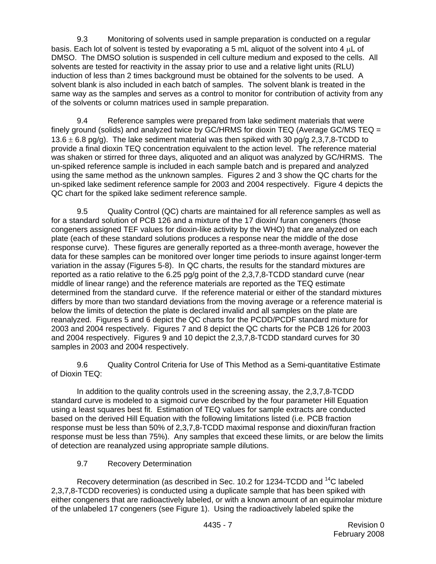9.3 Monitoring of solvents used in sample preparation is conducted on a regular basis. Each lot of solvent is tested by evaporating a 5 mL aliquot of the solvent into 4 μL of DMSO. The DMSO solution is suspended in cell culture medium and exposed to the cells. All solvents are tested for reactivity in the assay prior to use and a relative light units (RLU) induction of less than 2 times background must be obtained for the solvents to be used. A solvent blank is also included in each batch of samples. The solvent blank is treated in the same way as the samples and serves as a control to monitor for contribution of activity from any of the solvents or column matrices used in sample preparation.

 9.4 Reference samples were prepared from lake sediment materials that were finely ground (solids) and analyzed twice by GC/HRMS for dioxin TEQ (Average GC/MS TEQ =  $13.6 \pm 6.8$  pg/g). The lake sediment material was then spiked with 30 pg/g 2,3,7,8-TCDD to provide a final dioxin TEQ concentration equivalent to the action level. The reference material was shaken or stirred for three days, aliquoted and an aliquot was analyzed by GC/HRMS. The un-spiked reference sample is included in each sample batch and is prepared and analyzed using the same method as the unknown samples. Figures 2 and 3 show the QC charts for the un-spiked lake sediment reference sample for 2003 and 2004 respectively. Figure 4 depicts the QC chart for the spiked lake sediment reference sample.

 9.5 Quality Control (QC) charts are maintained for all reference samples as well as for a standard solution of PCB 126 and a mixture of the 17 dioxin/ furan congeners (those congeners assigned TEF values for dioxin-like activity by the WHO) that are analyzed on each plate (each of these standard solutions produces a response near the middle of the dose response curve). These figures are generally reported as a three-month average, however the data for these samples can be monitored over longer time periods to insure against longer-term variation in the assay (Figures 5-8). In QC charts, the results for the standard mixtures are reported as a ratio relative to the 6.25 pg/g point of the 2,3,7,8-TCDD standard curve (near middle of linear range) and the reference materials are reported as the TEQ estimate determined from the standard curve. If the reference material or either of the standard mixtures differs by more than two standard deviations from the moving average or a reference material is below the limits of detection the plate is declared invalid and all samples on the plate are reanalyzed. Figures 5 and 6 depict the QC charts for the PCDD/PCDF standard mixture for 2003 and 2004 respectively. Figures 7 and 8 depict the QC charts for the PCB 126 for 2003 and 2004 respectively. Figures 9 and 10 depict the 2,3,7,8-TCDD standard curves for 30 samples in 2003 and 2004 respectively.

 9.6 Quality Control Criteria for Use of This Method as a Semi-quantitative Estimate of Dioxin TEQ:

 In addition to the quality controls used in the screening assay, the 2,3,7,8-TCDD standard curve is modeled to a sigmoid curve described by the four parameter Hill Equation using a least squares best fit. Estimation of TEQ values for sample extracts are conducted based on the derived Hill Equation with the following limitations listed (i.e. PCB fraction response must be less than 50% of 2,3,7,8-TCDD maximal response and dioxin/furan fraction response must be less than 75%). Any samples that exceed these limits, or are below the limits of detection are reanalyzed using appropriate sample dilutions.

# 9.7 Recovery Determination

Recovery determination (as described in Sec. 10.2 for 1234-TCDD and <sup>14</sup>C labeled 2,3,7,8-TCDD recoveries) is conducted using a duplicate sample that has been spiked with either congeners that are radioactively labeled, or with a known amount of an equimolar mixture of the unlabeled 17 congeners (see Figure 1). Using the radioactively labeled spike the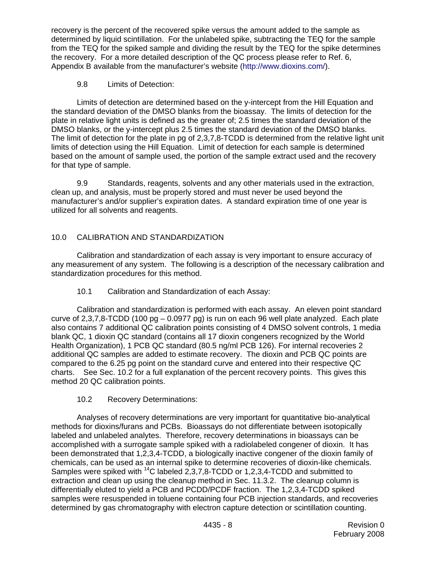recovery is the percent of the recovered spike versus the amount added to the sample as determined by liquid scintillation. For the unlabeled spike, subtracting the TEQ for the sample from the TEQ for the spiked sample and dividing the result by the TEQ for the spike determines the recovery. For a more detailed description of the QC process please refer to Ref. 6, Appendix B available from the manufacturer's website [\(http://www.dioxins.com/\)](http://www.dioxins.com/).

# 9.8 Limits of Detection:

 Limits of detection are determined based on the y-intercept from the Hill Equation and the standard deviation of the DMSO blanks from the bioassay. The limits of detection for the plate in relative light units is defined as the greater of; 2.5 times the standard deviation of the DMSO blanks, or the y-intercept plus 2.5 times the standard deviation of the DMSO blanks. The limit of detection for the plate in pg of 2,3,7,8-TCDD is determined from the relative light unit limits of detection using the Hill Equation. Limit of detection for each sample is determined based on the amount of sample used, the portion of the sample extract used and the recovery for that type of sample.

 9.9 Standards, reagents, solvents and any other materials used in the extraction, clean up, and analysis, must be properly stored and must never be used beyond the manufacturer's and/or supplier's expiration dates. A standard expiration time of one year is utilized for all solvents and reagents.

# 10.0 CALIBRATION AND STANDARDIZATION

 Calibration and standardization of each assay is very important to ensure accuracy of any measurement of any system. The following is a description of the necessary calibration and standardization procedures for this method.

10.1 Calibration and Standardization of each Assay:

 Calibration and standardization is performed with each assay. An eleven point standard curve of  $2,3,7,8$ -TCDD (100 pg  $-0.0977$  pg) is run on each 96 well plate analyzed. Each plate also contains 7 additional QC calibration points consisting of 4 DMSO solvent controls, 1 media blank QC, 1 dioxin QC standard (contains all 17 dioxin congeners recognized by the World Health Organization), 1 PCB QC standard (80.5 ng/ml PCB 126). For internal recoveries 2 additional QC samples are added to estimate recovery. The dioxin and PCB QC points are compared to the 6.25 pg point on the standard curve and entered into their respective QC charts. See Sec. 10.2 for a full explanation of the percent recovery points. This gives this method 20 QC calibration points.

# 10.2 Recovery Determinations:

 Analyses of recovery determinations are very important for quantitative bio-analytical methods for dioxins/furans and PCBs. Bioassays do not differentiate between isotopically labeled and unlabeled analytes. Therefore, recovery determinations in bioassays can be accomplished with a surrogate sample spiked with a radiolabeled congener of dioxin. It has been demonstrated that 1,2,3,4-TCDD, a biologically inactive congener of the dioxin family of chemicals, can be used as an internal spike to determine recoveries of dioxin-like chemicals. Samples were spiked with <sup>14</sup>C labeled 2,3,7,8-TCDD or 1,2,3,4-TCDD and submitted to extraction and clean up using the cleanup method in Sec. 11.3.2. The cleanup column is differentially eluted to yield a PCB and PCDD/PCDF fraction. The 1,2,3,4-TCDD spiked samples were resuspended in toluene containing four PCB injection standards, and recoveries determined by gas chromatography with electron capture detection or scintillation counting.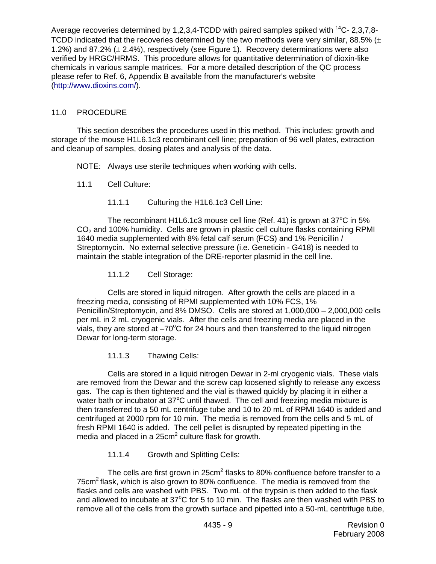Average recoveries determined by 1,2,3,4-TCDD with paired samples spiked with  $^{14}$ C- 2,3,7,8-TCDD indicated that the recoveries determined by the two methods were very similar, 88.5%  $(±$ 1.2%) and 87.2% ( $\pm$  2.4%), respectively (see Figure 1). Recovery determinations were also verified by HRGC/HRMS. This procedure allows for quantitative determination of dioxin-like chemicals in various sample matrices. For a more detailed description of the QC process please refer to Ref. 6, Appendix B available from the manufacturer's website (<http://www.dioxins.com/>).

### 11.0 PROCEDURE

 This section describes the procedures used in this method. This includes: growth and storage of the mouse H1L6.1c3 recombinant cell line; preparation of 96 well plates, extraction and cleanup of samples, dosing plates and analysis of the data.

NOTE: Always use sterile techniques when working with cells.

- 11.1 Cell Culture:
	- 11.1.1 Culturing the H1L6.1c3 Cell Line:

The recombinant H1L6.1c3 mouse cell line (Ref. 41) is grown at  $37^{\circ}$ C in 5%  $CO<sub>2</sub>$  and 100% humidity. Cells are grown in plastic cell culture flasks containing RPMI 1640 media supplemented with 8% fetal calf serum (FCS) and 1% Penicillin / Streptomycin. No external selective pressure (i.e. Geneticin - G418) is needed to maintain the stable integration of the DRE-reporter plasmid in the cell line.

11.1.2 Cell Storage:

 Cells are stored in liquid nitrogen. After growth the cells are placed in a freezing media, consisting of RPMI supplemented with 10% FCS, 1% Penicillin/Streptomycin, and 8% DMSO. Cells are stored at 1,000,000 – 2,000,000 cells per mL in 2 mL cryogenic vials. After the cells and freezing media are placed in the vials, they are stored at  $-70^{\circ}$ C for 24 hours and then transferred to the liquid nitrogen Dewar for long-term storage.

11.1.3 Thawing Cells:

 Cells are stored in a liquid nitrogen Dewar in 2-ml cryogenic vials. These vials are removed from the Dewar and the screw cap loosened slightly to release any excess gas. The cap is then tightened and the vial is thawed quickly by placing it in either a water bath or incubator at  $37^{\circ}$ C until thawed. The cell and freezing media mixture is then transferred to a 50 mL centrifuge tube and 10 to 20 mL of RPMI 1640 is added and centrifuged at 2000 rpm for 10 min. The media is removed from the cells and 5 mL of fresh RPMI 1640 is added. The cell pellet is disrupted by repeated pipetting in the media and placed in a  $25 \text{cm}^2$  culture flask for growth.

11.1.4 Growth and Splitting Cells:

The cells are first grown in 25 $cm<sup>2</sup>$  flasks to 80% confluence before transfer to a 75 $cm<sup>2</sup>$  flask, which is also grown to 80% confluence. The media is removed from the flasks and cells are washed with PBS. Two mL of the trypsin is then added to the flask and allowed to incubate at 37 $\mathrm{^{\circ}C}$  for 5 to 10 min. The flasks are then washed with PBS to remove all of the cells from the growth surface and pipetted into a 50-mL centrifuge tube,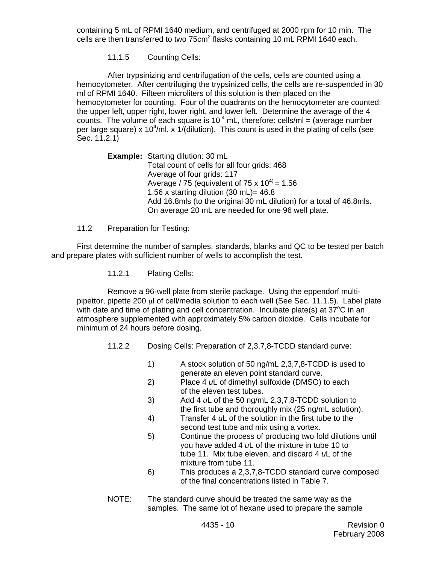containing 5 mL of RPMI 1640 medium, and centrifuged at 2000 rpm for 10 min. The cells are then transferred to two 75 $cm<sup>2</sup>$  flasks containing 10 mL RPMI 1640 each.

11.1.5 Counting Cells:

 After trypsinizing and centrifugation of the cells, cells are counted using a hemocytometer. After centrifuging the trypsinized cells, the cells are re-suspended in 30 ml of RPMI 1640. Fifteen microliters of this solution is then placed on the hemocytometer for counting. Four of the quadrants on the hemocytometer are counted: the upper left, upper right, lower right, and lower left. Determine the average of the 4 counts. The volume of each square is  $10^{-4}$  mL, therefore: cells/ml = (average number per large square) x 10<sup>4</sup>/ml. x 1/(dilution). This count is used in the plating of cells (see Sec. 11.2.1)

> **Example:** Starting dilution: 30 mL Total count of cells for all four grids: 468 Average of four grids: 117 Average / 75 (equivalent of 75 x  $10^{4}$ ) = 1.56 1.56 x starting dilution  $(30 \text{ mL}) = 46.8$  Add 16.8mls (to the original 30 mL dilution) for a total of 46.8mls. On average 20 mL are needed for one 96 well plate.

### 11.2 Preparation for Testing:

 First determine the number of samples, standards, blanks and QC to be tested per batch and prepare plates with sufficient number of wells to accomplish the test.

11.2.1 Plating Cells:

 Remove a 96-well plate from sterile package. Using the eppendorf multipipettor, pipette 200 μl of cell/media solution to each well (See Sec. 11.1.5). Label plate with date and time of plating and cell concentration. Incubate plate(s) at  $37^{\circ}$ C in an atmosphere supplemented with approximately 5% carbon dioxide. Cells incubate for minimum of 24 hours before dosing.

- 11.2.2 Dosing Cells: Preparation of 2,3,7,8-TCDD standard curve:
	- 1) A stock solution of 50 ng/mL 2,3,7,8-TCDD is used to generate an eleven point standard curve.
	- 2) Place 4 *u*L of dimethyl sulfoxide (DMSO) to each of the eleven test tubes.
	- 3) Add 4 *u*L of the 50 ng/mL 2,3,7,8-TCDD solution to the first tube and thoroughly mix (25 ng/mL solution).
	- 4) Transfer 4 *u*L of the solution in the first tube to the second test tube and mix using a vortex.
	- 5) Continue the process of producing two fold dilutions until you have added 4 *u*L of the mixture in tube 10 to tube 11. Mix tube eleven, and discard 4 *u*L of the mixture from tube 11.
	- 6) This produces a 2,3,7,8-TCDD standard curve composed of the final concentrations listed in Table 7.
- NOTE: The standard curve should be treated the same way as the samples. The same lot of hexane used to prepare the sample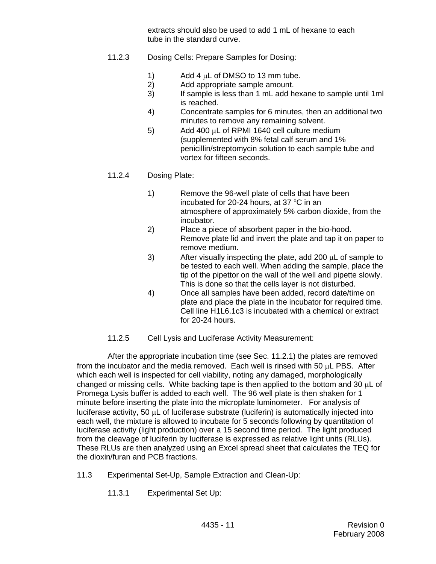extracts should also be used to add 1 mL of hexane to each tube in the standard curve.

- 11.2.3 Dosing Cells: Prepare Samples for Dosing:
	- 1) Add 4  $\mu$ L of DMSO to 13 mm tube.
	- 2) Add appropriate sample amount.
	- 3) If sample is less than 1 mL add hexane to sample until 1ml is reached.
	- 4) Concentrate samples for 6 minutes, then an additional two minutes to remove any remaining solvent.
	- 5) Add 400 μL of RPMI 1640 cell culture medium (supplemented with 8% fetal calf serum and 1% penicillin/streptomycin solution to each sample tube and vortex for fifteen seconds.

# 11.2.4 Dosing Plate:

- 1) Remove the 96-well plate of cells that have been incubated for 20-24 hours, at 37 °C in an atmosphere of approximately 5% carbon dioxide, from the incubator.
	- 2) Place a piece of absorbent paper in the bio-hood. Remove plate lid and invert the plate and tap it on paper to remove medium.
	- 3) After visually inspecting the plate, add 200  $\mu$ L of sample to be tested to each well. When adding the sample, place the tip of the pipettor on the wall of the well and pipette slowly. This is done so that the cells layer is not disturbed.
	- 4) Once all samples have been added, record date/time on plate and place the plate in the incubator for required time. Cell line H1L6.1c3 is incubated with a chemical or extract for 20-24 hours.
	- 11.2.5 Cell Lysis and Luciferase Activity Measurement:

 After the appropriate incubation time (see Sec. 11.2.1) the plates are removed from the incubator and the media removed. Each well is rinsed with 50 μL PBS. After which each well is inspected for cell viability, noting any damaged, morphologically changed or missing cells. White backing tape is then applied to the bottom and 30 μL of Promega Lysis buffer is added to each well. The 96 well plate is then shaken for 1 minute before inserting the plate into the microplate luminometer. For analysis of luciferase activity, 50 μL of luciferase substrate (luciferin) is automatically injected into each well, the mixture is allowed to incubate for 5 seconds following by quantitation of luciferase activity (light production) over a 15 second time period. The light produced from the cleavage of luciferin by luciferase is expressed as relative light units (RLUs). These RLUs are then analyzed using an Excel spread sheet that calculates the TEQ for the dioxin/furan and PCB fractions.

- 11.3 Experimental Set-Up, Sample Extraction and Clean-Up:
	- 11.3.1 Experimental Set Up: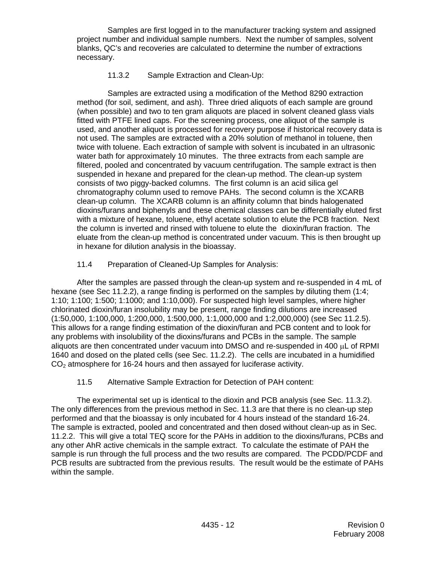Samples are first logged in to the manufacturer tracking system and assigned project number and individual sample numbers. Next the number of samples, solvent blanks, QC's and recoveries are calculated to determine the number of extractions necessary.

### 11.3.2 Sample Extraction and Clean-Up:

 Samples are extracted using a modification of the Method 8290 extraction method (for soil, sediment, and ash). Three dried aliquots of each sample are ground (when possible) and two to ten gram aliquots are placed in solvent cleaned glass vials fitted with PTFE lined caps. For the screening process, one aliquot of the sample is used, and another aliquot is processed for recovery purpose if historical recovery data is not used. The samples are extracted with a 20% solution of methanol in toluene, then twice with toluene. Each extraction of sample with solvent is incubated in an ultrasonic water bath for approximately 10 minutes. The three extracts from each sample are filtered, pooled and concentrated by vacuum centrifugation. The sample extract is then suspended in hexane and prepared for the clean-up method. The clean-up system consists of two piggy-backed columns. The first column is an acid silica gel chromatography column used to remove PAHs. The second column is the XCARB clean-up column. The XCARB column is an affinity column that binds halogenated dioxins/furans and biphenyls and these chemical classes can be differentially eluted first with a mixture of hexane, toluene, ethyl acetate solution to elute the PCB fraction. Next the column is inverted and rinsed with toluene to elute the dioxin/furan fraction. The eluate from the clean-up method is concentrated under vacuum. This is then brought up in hexane for dilution analysis in the bioassay.

### 11.4 Preparation of Cleaned-Up Samples for Analysis:

 After the samples are passed through the clean-up system and re-suspended in 4 mL of hexane (see Sec 11.2.2), a range finding is performed on the samples by diluting them (1:4; 1:10; 1:100; 1:500; 1:1000; and 1:10,000). For suspected high level samples, where higher chlorinated dioxin/furan insolubility may be present, range finding dilutions are increased (1:50,000, 1:100,000, 1:200,000, 1:500,000, 1:1,000,000 and 1:2,000,000) (see Sec 11.2.5). This allows for a range finding estimation of the dioxin/furan and PCB content and to look for any problems with insolubility of the dioxins/furans and PCBs in the sample. The sample aliquots are then concentrated under vacuum into DMSO and re-suspended in 400 μL of RPMI 1640 and dosed on the plated cells (see Sec. 11.2.2). The cells are incubated in a humidified  $CO<sub>2</sub>$  atmosphere for 16-24 hours and then assayed for luciferase activity.

# 11.5 Alternative Sample Extraction for Detection of PAH content:

 The experimental set up is identical to the dioxin and PCB analysis (see Sec. 11.3.2). The only differences from the previous method in Sec. 11.3 are that there is no clean-up step performed and that the bioassay is only incubated for 4 hours instead of the standard 16-24. The sample is extracted, pooled and concentrated and then dosed without clean-up as in Sec. 11.2.2. This will give a total TEQ score for the PAHs in addition to the dioxins/furans, PCBs and any other AhR active chemicals in the sample extract. To calculate the estimate of PAH the sample is run through the full process and the two results are compared. The PCDD/PCDF and PCB results are subtracted from the previous results. The result would be the estimate of PAHs within the sample.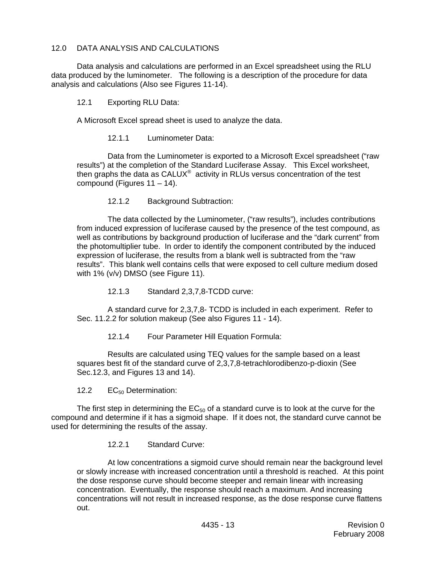### 12.0 DATA ANALYSIS AND CALCULATIONS

 Data analysis and calculations are performed in an Excel spreadsheet using the RLU data produced by the luminometer. The following is a description of the procedure for data analysis and calculations (Also see Figures 11-14).

12.1 Exporting RLU Data:

A Microsoft Excel spread sheet is used to analyze the data.

12.1.1 Luminometer Data:

 Data from the Luminometer is exported to a Microsoft Excel spreadsheet ("raw results") at the completion of the Standard Luciferase Assay. This Excel worksheet, then graphs the data as CALUX<sup>®</sup> activity in RLUs versus concentration of the test compound (Figures 11 – 14).

12.1.2 Background Subtraction:

 The data collected by the Luminometer, ("raw results"), includes contributions from induced expression of luciferase caused by the presence of the test compound, as well as contributions by background production of luciferase and the "dark current" from the photomultiplier tube. In order to identify the component contributed by the induced expression of luciferase, the results from a blank well is subtracted from the "raw results". This blank well contains cells that were exposed to cell culture medium dosed with 1% (v/v) DMSO (see Figure 11).

12.1.3 Standard 2,3,7,8-TCDD curve:

 A standard curve for 2,3,7,8- TCDD is included in each experiment. Refer to Sec. 11.2.2 for solution makeup (See also Figures 11 - 14).

12.1.4 Four Parameter Hill Equation Formula:

 Results are calculated using TEQ values for the sample based on a least squares best fit of the standard curve of 2,3,7,8-tetrachlorodibenzo-p-dioxin (See Sec.12.3, and Figures 13 and 14).

12.2 EC<sub>50</sub> Determination:

The first step in determining the  $EC_{50}$  of a standard curve is to look at the curve for the compound and determine if it has a sigmoid shape. If it does not, the standard curve cannot be used for determining the results of the assay.

12.2.1 Standard Curve:

 At low concentrations a sigmoid curve should remain near the background level or slowly increase with increased concentration until a threshold is reached. At this point the dose response curve should become steeper and remain linear with increasing concentration. Eventually, the response should reach a maximum. And increasing concentrations will not result in increased response, as the dose response curve flattens out.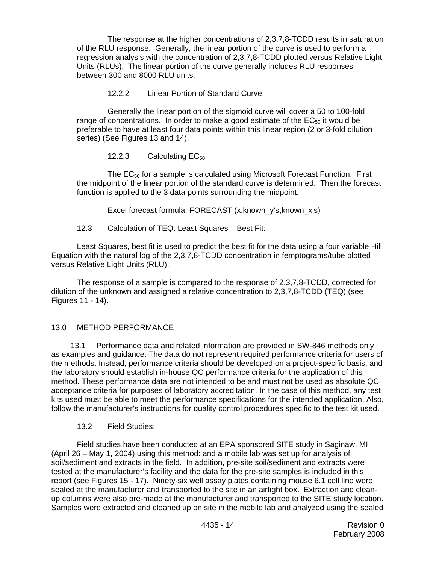The response at the higher concentrations of 2,3,7,8-TCDD results in saturation of the RLU response. Generally, the linear portion of the curve is used to perform a regression analysis with the concentration of 2,3,7,8-TCDD plotted versus Relative Light Units (RLUs). The linear portion of the curve generally includes RLU responses between 300 and 8000 RLU units.

12.2.2 Linear Portion of Standard Curve:

 Generally the linear portion of the sigmoid curve will cover a 50 to 100-fold range of concentrations. In order to make a good estimate of the  $EC_{50}$  it would be preferable to have at least four data points within this linear region (2 or 3-fold dilution series) (See Figures 13 and 14).

12.2.3 Calculating  $EC_{50}$ :

The  $EC_{50}$  for a sample is calculated using Microsoft Forecast Function. First the midpoint of the linear portion of the standard curve is determined. Then the forecast function is applied to the 3 data points surrounding the midpoint.

Excel forecast formula: FORECAST (x, known\_y's, known\_x's)

12.3 Calculation of TEQ: Least Squares – Best Fit:

 Least Squares, best fit is used to predict the best fit for the data using a four variable Hill Equation with the natural log of the 2,3,7,8-TCDD concentration in femptograms/tube plotted versus Relative Light Units (RLU).

 The response of a sample is compared to the response of 2,3,7,8-TCDD, corrected for dilution of the unknown and assigned a relative concentration to 2,3,7,8-TCDD (TEQ) (see Figures 11 - 14).

# 13.0 METHOD PERFORMANCE

13.1 Performance data and related information are provided in SW-846 methods only as examples and guidance. The data do not represent required performance criteria for users of the methods. Instead, performance criteria should be developed on a project-specific basis, and the laboratory should establish in-house QC performance criteria for the application of this method. These performance data are not intended to be and must not be used as absolute QC acceptance criteria for purposes of laboratory accreditation. In the case of this method, any test kits used must be able to meet the performance specifications for the intended application. Also, follow the manufacturer's instructions for quality control procedures specific to the test kit used.

# 13.2 Field Studies:

 Field studies have been conducted at an EPA sponsored SITE study in Saginaw, MI (April 26 – May 1, 2004) using this method: and a mobile lab was set up for analysis of soil/sediment and extracts in the field. In addition, pre-site soil/sediment and extracts were tested at the manufacturer's facility and the data for the pre-site samples is included in this report (see Figures 15 - 17). Ninety-six well assay plates containing mouse 6.1 cell line were sealed at the manufacturer and transported to the site in an airtight box. Extraction and cleanup columns were also pre-made at the manufacturer and transported to the SITE study location. Samples were extracted and cleaned up on site in the mobile lab and analyzed using the sealed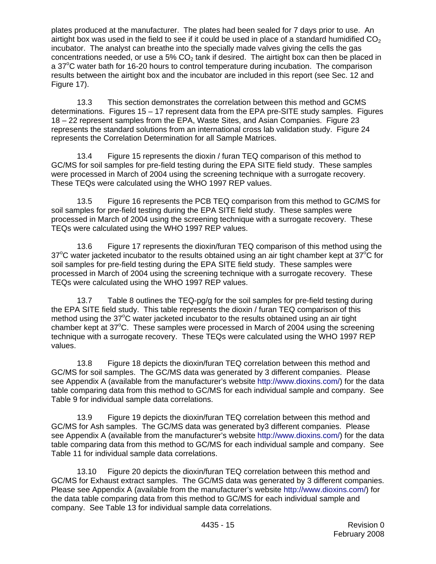plates produced at the manufacturer. The plates had been sealed for 7 days prior to use. An airtight box was used in the field to see if it could be used in place of a standard humidified  $CO<sub>2</sub>$ incubator. The analyst can breathe into the specially made valves giving the cells the gas concentrations needed, or use a 5%  $CO<sub>2</sub>$  tank if desired. The airtight box can then be placed in a 37°C water bath for 16-20 hours to control temperature during incubation. The comparison results between the airtight box and the incubator are included in this report (see Sec. 12 and Figure 17).

 13.3 This section demonstrates the correlation between this method and GCMS determinations. Figures 15 – 17 represent data from the EPA pre-SITE study samples. Figures 18 – 22 represent samples from the EPA, Waste Sites, and Asian Companies. Figure 23 represents the standard solutions from an international cross lab validation study. Figure 24 represents the Correlation Determination for all Sample Matrices.

 13.4 Figure 15 represents the dioxin / furan TEQ comparison of this method to GC/MS for soil samples for pre-field testing during the EPA SITE field study. These samples were processed in March of 2004 using the screening technique with a surrogate recovery. These TEQs were calculated using the WHO 1997 REP values.

 13.5 Figure 16 represents the PCB TEQ comparison from this method to GC/MS for soil samples for pre-field testing during the EPA SITE field study. These samples were processed in March of 2004 using the screening technique with a surrogate recovery. These TEQs were calculated using the WHO 1997 REP values.

 13.6 Figure 17 represents the dioxin/furan TEQ comparison of this method using the 37°C water jacketed incubator to the results obtained using an air tight chamber kept at 37°C for soil samples for pre-field testing during the EPA SITE field study. These samples were processed in March of 2004 using the screening technique with a surrogate recovery. These TEQs were calculated using the WHO 1997 REP values.

 13.7 Table 8 outlines the TEQ-pg/g for the soil samples for pre-field testing during the EPA SITE field study. This table represents the dioxin / furan TEQ comparison of this method using the  $37^{\circ}$ C water jacketed incubator to the results obtained using an air tight chamber kept at 37°C. These samples were processed in March of 2004 using the screening technique with a surrogate recovery. These TEQs were calculated using the WHO 1997 REP values.

 13.8 Figure 18 depicts the dioxin/furan TEQ correlation between this method and GC/MS for soil samples. The GC/MS data was generated by 3 different companies. Please see Appendix A (available from the manufacturer's website <http://www.dioxins.com/>) for the data table comparing data from this method to GC/MS for each individual sample and company. See Table 9 for individual sample data correlations.

 13.9 Figure 19 depicts the dioxin/furan TEQ correlation between this method and GC/MS for Ash samples. The GC/MS data was generated by3 different companies. Please see Appendix A (available from the manufacturer's website <http://www.dioxins.com/>) for the data table comparing data from this method to GC/MS for each individual sample and company. See Table 11 for individual sample data correlations.

 13.10 Figure 20 depicts the dioxin/furan TEQ correlation between this method and GC/MS for Exhaust extract samples. The GC/MS data was generated by 3 different companies. Please see Appendix A (available from the manufacturer's website <http://www.dioxins.com/>) for the data table comparing data from this method to GC/MS for each individual sample and company. See Table 13 for individual sample data correlations.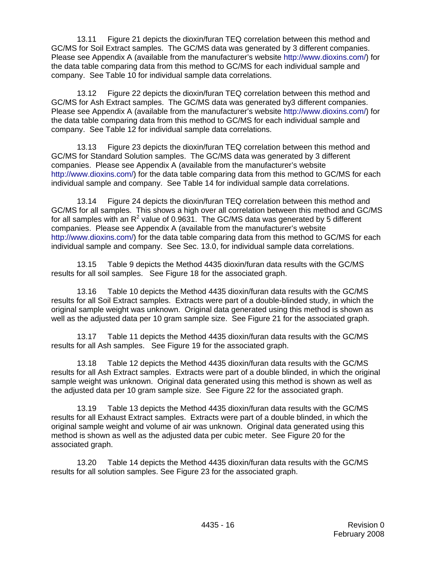13.11 Figure 21 depicts the dioxin/furan TEQ correlation between this method and GC/MS for Soil Extract samples. The GC/MS data was generated by 3 different companies. Please see Appendix A (available from the manufacturer's website <http://www.dioxins.com/>) for the data table comparing data from this method to GC/MS for each individual sample and company. See Table 10 for individual sample data correlations.

 13.12 Figure 22 depicts the dioxin/furan TEQ correlation between this method and GC/MS for Ash Extract samples. The GC/MS data was generated by3 different companies. Please see Appendix A (available from the manufacturer's website <http://www.dioxins.com/>) for the data table comparing data from this method to GC/MS for each individual sample and company. See Table 12 for individual sample data correlations.

 13.13 Figure 23 depicts the dioxin/furan TEQ correlation between this method and GC/MS for Standard Solution samples. The GC/MS data was generated by 3 different companies. Please see Appendix A (available from the manufacturer's website [http://www.dioxins.com/\)](http://www.dioxins.com/) for the data table comparing data from this method to GC/MS for each individual sample and company. See Table 14 for individual sample data correlations.

 13.14 Figure 24 depicts the dioxin/furan TEQ correlation between this method and GC/MS for all samples. This shows a high over all correlation between this method and GC/MS for all samples with an R<sup>2</sup> value of 0.9631. The GC/MS data was generated by 5 different companies. Please see Appendix A (available from the manufacturer's website [http://www.dioxins.com/\)](http://www.dioxins.com/) for the data table comparing data from this method to GC/MS for each individual sample and company. See Sec. 13.0, for individual sample data correlations.

 13.15 Table 9 depicts the Method 4435 dioxin/furan data results with the GC/MS results for all soil samples. See Figure 18 for the associated graph.

 13.16 Table 10 depicts the Method 4435 dioxin/furan data results with the GC/MS results for all Soil Extract samples. Extracts were part of a double-blinded study, in which the original sample weight was unknown. Original data generated using this method is shown as well as the adjusted data per 10 gram sample size. See Figure 21 for the associated graph.

 13.17 Table 11 depicts the Method 4435 dioxin/furan data results with the GC/MS results for all Ash samples. See Figure 19 for the associated graph.

 13.18 Table 12 depicts the Method 4435 dioxin/furan data results with the GC/MS results for all Ash Extract samples. Extracts were part of a double blinded, in which the original sample weight was unknown. Original data generated using this method is shown as well as the adjusted data per 10 gram sample size. See Figure 22 for the associated graph.

 13.19 Table 13 depicts the Method 4435 dioxin/furan data results with the GC/MS results for all Exhaust Extract samples. Extracts were part of a double blinded, in which the original sample weight and volume of air was unknown. Original data generated using this method is shown as well as the adjusted data per cubic meter. See Figure 20 for the associated graph.

 13.20 Table 14 depicts the Method 4435 dioxin/furan data results with the GC/MS results for all solution samples. See Figure 23 for the associated graph.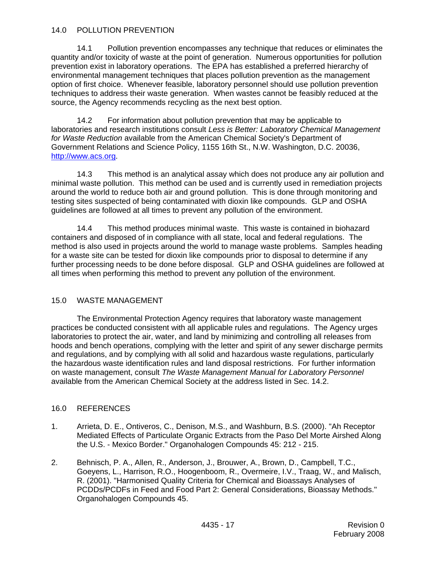#### 14.0 POLLUTION PREVENTION

 14.1 Pollution prevention encompasses any technique that reduces or eliminates the quantity and/or toxicity of waste at the point of generation. Numerous opportunities for pollution prevention exist in laboratory operations. The EPA has established a preferred hierarchy of environmental management techniques that places pollution prevention as the management option of first choice. Whenever feasible, laboratory personnel should use pollution prevention techniques to address their waste generation. When wastes cannot be feasibly reduced at the source, the Agency recommends recycling as the next best option.

 14.2 For information about pollution prevention that may be applicable to laboratories and research institutions consult *Less is Better: Laboratory Chemical Management for Waste Reduction* available from the American Chemical Society's Department of Government Relations and Science Policy, 1155 16th St., N.W. Washington, D.C. 20036, [http://www.acs.org.](http://www.acs.org/)

 14.3 This method is an analytical assay which does not produce any air pollution and minimal waste pollution. This method can be used and is currently used in remediation projects around the world to reduce both air and ground pollution. This is done through monitoring and testing sites suspected of being contaminated with dioxin like compounds. GLP and OSHA guidelines are followed at all times to prevent any pollution of the environment.

 14.4 This method produces minimal waste. This waste is contained in biohazard containers and disposed of in compliance with all state, local and federal regulations. The method is also used in projects around the world to manage waste problems. Samples heading for a waste site can be tested for dioxin like compounds prior to disposal to determine if any further processing needs to be done before disposal. GLP and OSHA guidelines are followed at all times when performing this method to prevent any pollution of the environment.

# 15.0 WASTE MANAGEMENT

 The Environmental Protection Agency requires that laboratory waste management practices be conducted consistent with all applicable rules and regulations. The Agency urges laboratories to protect the air, water, and land by minimizing and controlling all releases from hoods and bench operations, complying with the letter and spirit of any sewer discharge permits and regulations, and by complying with all solid and hazardous waste regulations, particularly the hazardous waste identification rules and land disposal restrictions. For further information on waste management, consult *The Waste Management Manual for Laboratory Personnel*  available from the American Chemical Society at the address listed in Sec. 14.2.

#### 16.0 REFERENCES

- 1. Arrieta, D. E., Ontiveros, C., Denison, M.S., and Washburn, B.S. (2000). "Ah Receptor Mediated Effects of Particulate Organic Extracts from the Paso Del Morte Airshed Along the U.S. - Mexico Border." Organohalogen Compounds 45: 212 - 215.
- 2. Behnisch, P. A., Allen, R., Anderson, J., Brouwer, A., Brown, D., Campbell, T.C., Goeyens, L., Harrison, R.O., Hoogenboom, R., Overmeire, I.V., Traag, W., and Malisch, R. (2001). "Harmonised Quality Criteria for Chemical and Bioassays Analyses of PCDDs/PCDFs in Feed and Food Part 2: General Considerations, Bioassay Methods." Organohalogen Compounds 45.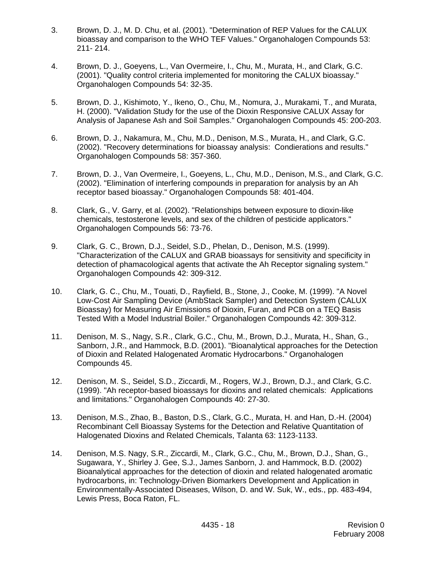- 3. Brown, D. J., M. D. Chu, et al. (2001). "Determination of REP Values for the CALUX bioassay and comparison to the WHO TEF Values." Organohalogen Compounds 53: 211- 214.
- 4. Brown, D. J., Goeyens, L., Van Overmeire, I., Chu, M., Murata, H., and Clark, G.C. (2001). "Quality control criteria implemented for monitoring the CALUX bioassay." Organohalogen Compounds 54: 32-35.
- 5. Brown, D. J., Kishimoto, Y., Ikeno, O., Chu, M., Nomura, J., Murakami, T., and Murata, H. (2000). "Validation Study for the use of the Dioxin Responsive CALUX Assay for Analysis of Japanese Ash and Soil Samples." Organohalogen Compounds 45: 200-203.
- 6. Brown, D. J., Nakamura, M., Chu, M.D., Denison, M.S., Murata, H., and Clark, G.C. (2002). "Recovery determinations for bioassay analysis: Condierations and results." Organohalogen Compounds 58: 357-360.
- 7. Brown, D. J., Van Overmeire, I., Goeyens, L., Chu, M.D., Denison, M.S., and Clark, G.C. (2002). "Elimination of interfering compounds in preparation for analysis by an Ah receptor based bioassay." Organohalogen Compounds 58: 401-404.
- 8. Clark, G., V. Garry, et al. (2002). "Relationships between exposure to dioxin-like chemicals, testosterone levels, and sex of the children of pesticide applicators." Organohalogen Compounds 56: 73-76.
- 9. Clark, G. C., Brown, D.J., Seidel, S.D., Phelan, D., Denison, M.S. (1999). "Characterization of the CALUX and GRAB bioassays for sensitivity and specificity in detection of phamacological agents that activate the Ah Receptor signaling system." Organohalogen Compounds 42: 309-312.
- 10. Clark, G. C., Chu, M., Touati, D., Rayfield, B., Stone, J., Cooke, M. (1999). "A Novel Low-Cost Air Sampling Device (AmbStack Sampler) and Detection System (CALUX Bioassay) for Measuring Air Emissions of Dioxin, Furan, and PCB on a TEQ Basis Tested With a Model Industrial Boiler." Organohalogen Compounds 42: 309-312.
- 11. Denison, M. S., Nagy, S.R., Clark, G.C., Chu, M., Brown, D.J., Murata, H., Shan, G., Sanborn, J.R., and Hammock, B.D. (2001). "Bioanalytical approaches for the Detection of Dioxin and Related Halogenated Aromatic Hydrocarbons." Organohalogen Compounds 45.
- 12. Denison, M. S., Seidel, S.D., Ziccardi, M., Rogers, W.J., Brown, D.J., and Clark, G.C. (1999). "Ah receptor-based bioassays for dioxins and related chemicals: Applications and limitations." Organohalogen Compounds 40: 27-30.
- 13. Denison, M.S., Zhao, B., Baston, D.S., Clark, G.C., Murata, H. and Han, D.-H. (2004) Recombinant Cell Bioassay Systems for the Detection and Relative Quantitation of Halogenated Dioxins and Related Chemicals, Talanta 63: 1123-1133.
- 14. Denison, M.S. Nagy, S.R., Ziccardi, M., Clark, G.C., Chu, M., Brown, D.J., Shan, G., Sugawara, Y., Shirley J. Gee, S.J., James Sanborn, J. and Hammock, B.D. (2002) Bioanalytical approaches for the detection of dioxin and related halogenated aromatic hydrocarbons, in: Technology-Driven Biomarkers Development and Application in Environmentally-Associated Diseases, Wilson, D. and W. Suk, W., eds., pp. 483-494, Lewis Press, Boca Raton, FL.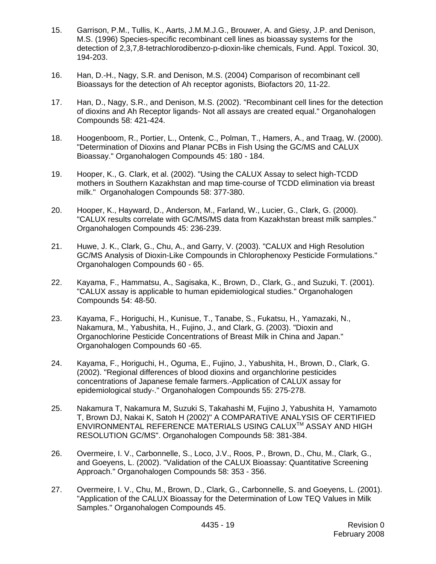- 15. Garrison, P.M., Tullis, K., Aarts, J.M.M.J.G., Brouwer, A. and Giesy, J.P. and Denison, M.S. (1996) Species-specific recombinant cell lines as bioassay systems for the detection of 2,3,7,8-tetrachlorodibenzo-p-dioxin-like chemicals, Fund. Appl. Toxicol. 30, 194-203.
- 16. Han, D.-H., Nagy, S.R. and Denison, M.S. (2004) Comparison of recombinant cell Bioassays for the detection of Ah receptor agonists, Biofactors 20, 11-22.
- 17. Han, D., Nagy, S.R., and Denison, M.S. (2002). "Recombinant cell lines for the detection of dioxins and Ah Receptor ligands- Not all assays are created equal." Organohalogen Compounds 58: 421-424.
- 18. Hoogenboom, R., Portier, L., Ontenk, C., Polman, T., Hamers, A., and Traag, W. (2000). "Determination of Dioxins and Planar PCBs in Fish Using the GC/MS and CALUX Bioassay." Organohalogen Compounds 45: 180 - 184.
- 19. Hooper, K., G. Clark, et al. (2002). "Using the CALUX Assay to select high-TCDD mothers in Southern Kazakhstan and map time-course of TCDD elimination via breast milk." Organohalogen Compounds 58: 377-380.
- 20. Hooper, K., Hayward, D., Anderson, M., Farland, W., Lucier, G., Clark, G. (2000). "CALUX results correlate with GC/MS/MS data from Kazakhstan breast milk samples." Organohalogen Compounds 45: 236-239.
- 21. Huwe, J. K., Clark, G., Chu, A., and Garry, V. (2003). "CALUX and High Resolution GC/MS Analysis of Dioxin-Like Compounds in Chlorophenoxy Pesticide Formulations." Organohalogen Compounds 60 - 65.
- 22. Kayama, F., Hammatsu, A., Sagisaka, K., Brown, D., Clark, G., and Suzuki, T. (2001). "CALUX assay is applicable to human epidemiological studies." Organohalogen Compounds 54: 48-50.
- 23. Kayama, F., Horiguchi, H., Kunisue, T., Tanabe, S., Fukatsu, H., Yamazaki, N., Nakamura, M., Yabushita, H., Fujino, J., and Clark, G. (2003). "Dioxin and Organochlorine Pesticide Concentrations of Breast Milk in China and Japan." Organohalogen Compounds 60 -65.
- 24. Kayama, F., Horiguchi, H., Oguma, E., Fujino, J., Yabushita, H., Brown, D., Clark, G. (2002). "Regional differences of blood dioxins and organchlorine pesticides concentrations of Japanese female farmers.-Application of CALUX assay for epidemiological study-." Organohalogen Compounds 55: 275-278.
- 25. Nakamura T, Nakamura M, Suzuki S, Takahashi M, Fujino J, Yabushita H, Yamamoto T, Brown DJ, Nakai K, Satoh H (2002)" A COMPARATIVE ANALYSIS OF CERTIFIED ENVIRONMENTAL REFERENCE MATERIALS USING CALUXTM ASSAY AND HIGH RESOLUTION GC/MS". Organohalogen Compounds 58: 381-384.
- 26. Overmeire, I. V., Carbonnelle, S., Loco, J.V., Roos, P., Brown, D., Chu, M., Clark, G., and Goeyens, L. (2002). "Validation of the CALUX Bioassay: Quantitative Screening Approach." Organohalogen Compounds 58: 353 - 356.
- 27. Overmeire, I. V., Chu, M., Brown, D., Clark, G., Carbonnelle, S. and Goeyens, L. (2001). "Application of the CALUX Bioassay for the Determination of Low TEQ Values in Milk Samples." Organohalogen Compounds 45.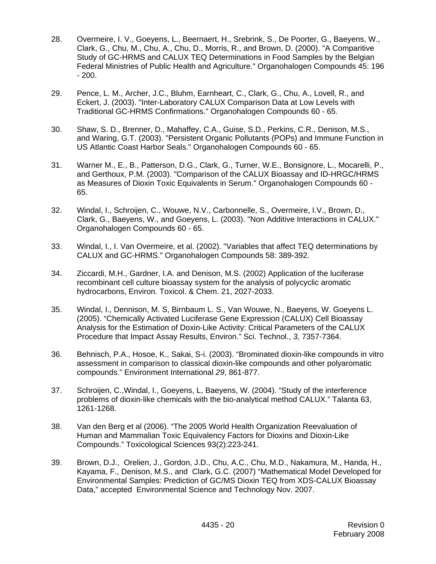- 28. Overmeire, I. V., Goeyens, L., Beernaert, H., Srebrink, S., De Poorter, G., Baeyens, W., Clark, G., Chu, M., Chu, A., Chu, D., Morris, R., and Brown, D. (2000). "A Comparitive Study of GC-HRMS and CALUX TEQ Determinations in Food Samples by the Belgian Federal Ministries of Public Health and Agriculture." Organohalogen Compounds 45: 196 - 200.
- 29. Pence, L. M., Archer, J.C., Bluhm, Earnheart, C., Clark, G., Chu, A., Lovell, R., and Eckert, J. (2003). "Inter-Laboratory CALUX Comparison Data at Low Levels with Traditional GC-HRMS Confirmations." Organohalogen Compounds 60 - 65.
- 30. Shaw, S. D., Brenner, D., Mahaffey, C.A., Guise, S.D., Perkins, C.R., Denison, M.S., and Waring, G.T. (2003). "Persistent Organic Pollutants (POPs) and Immune Function in US Atlantic Coast Harbor Seals." Organohalogen Compounds 60 - 65.
- 31. Warner M., E., B., Patterson, D.G., Clark, G., Turner, W.E., Bonsignore, L., Mocarelli, P., and Gerthoux, P.M. (2003). "Comparison of the CALUX Bioassay and ID-HRGC/HRMS as Measures of Dioxin Toxic Equivalents in Serum." Organohalogen Compounds 60 - 65.
- 32. Windal, I., Schroijen, C., Wouwe, N.V., Carbonnelle, S., Overmeire, I.V., Brown, D., Clark, G., Baeyens, W., and Goeyens, L. (2003). "Non Additive Interactions in CALUX." Organohalogen Compounds 60 - 65.
- 33. Windal, I., I. Van Overmeire, et al. (2002). "Variables that affect TEQ determinations by CALUX and GC-HRMS." Organohalogen Compounds 58: 389-392.
- 34. Ziccardi, M.H., Gardner, I.A. and Denison, M.S. (2002) Application of the luciferase recombinant cell culture bioassay system for the analysis of polycyclic aromatic hydrocarbons, Environ. Toxicol. & Chem. 21, 2027-2033.
- 35. Windal, I., Dennison, M. S, Birnbaum L. S., Van Wouwe, N., Baeyens, W. Goeyens L. (2005). "Chemically Activated Luciferase Gene Expression (CALUX) Cell Bioassay Analysis for the Estimation of Doxin-Like Activity: Critical Parameters of the CALUX Procedure that Impact Assay Results, Environ." Sci. Technol., *3,* 7357-7364.
- 36. Behnisch, P.A., Hosoe, K., Sakai, S-i. (2003). "Brominated dioxin-like compounds in vitro assessment in comparison to classical dioxin-like compounds and other polyaromatic compounds." Environment International *29*, 861-877.
- 37. Schroijen, C.,Windal, I., Goeyens, L, Baeyens, W. (2004). "Study of the interference problems of dioxin-like chemicals with the bio-analytical method CALUX." Talanta 63, 1261-1268.
- 38. Van den Berg et al (2006). "The 2005 World Health Organization Reevaluation of Human and Mammalian Toxic Equivalency Factors for Dioxins and Dioxin-Like Compounds." Toxicological Sciences 93(2):223-241.
- 39. Brown, D.J., Orelien, J., Gordon, J.D., Chu, A.C., Chu, M.D., Nakamura, M., Handa, H., Kayama, F., Denison, M.S., and Clark, G.C. (2007) "Mathematical Model Developed for Environmental Samples: Prediction of GC/MS Dioxin TEQ from XDS-CALUX Bioassay Data," accepted Environmental Science and Technology Nov. 2007.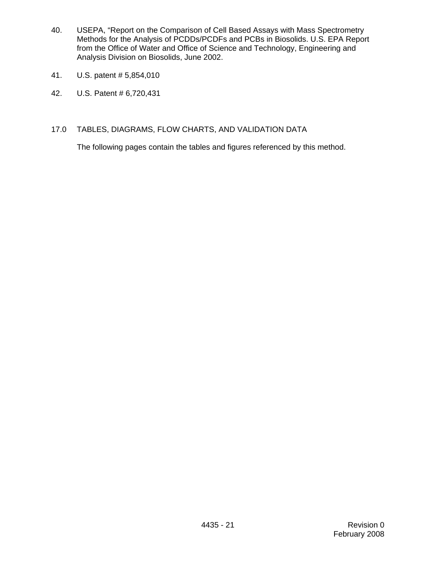- 40. USEPA, "Report on the Comparison of Cell Based Assays with Mass Spectrometry Methods for the Analysis of PCDDs/PCDFs and PCBs in Biosolids. U.S. EPA Report from the Office of Water and Office of Science and Technology, Engineering and Analysis Division on Biosolids, June 2002.
- 41. U.S. patent # 5,854,010
- 42. U.S. Patent # 6,720,431
- 17.0 TABLES, DIAGRAMS, FLOW CHARTS, AND VALIDATION DATA

The following pages contain the tables and figures referenced by this method.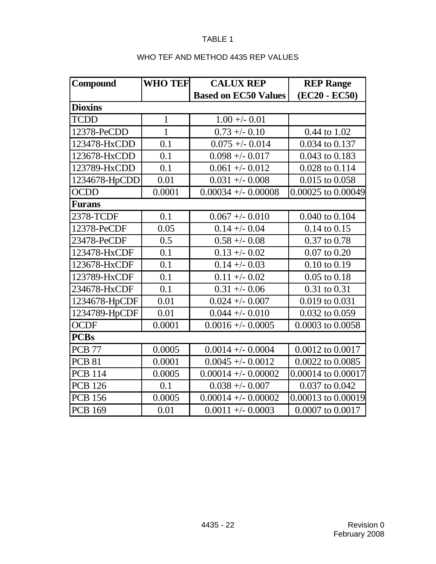# WHO TEF AND METHOD 4435 REP VALUES

| Compound       | <b>WHO TEF</b> | <b>CALUX REP</b>            | <b>REP Range</b>   |
|----------------|----------------|-----------------------------|--------------------|
|                |                | <b>Based on EC50 Values</b> | (EC20 - EC50)      |
| <b>Dioxins</b> |                |                             |                    |
| <b>TCDD</b>    | $\mathbf{1}$   | $1.00 + - 0.01$             |                    |
| 12378-PeCDD    | $\mathbf{1}$   | $0.73 + -0.10$              | 0.44 to 1.02       |
| 123478-HxCDD   | 0.1            | $0.075 + - 0.014$           | 0.034 to 0.137     |
| 123678-HxCDD   | 0.1            | $0.098 + - 0.017$           | 0.043 to 0.183     |
| 123789-HxCDD   | 0.1            | $0.061 + - 0.012$           | 0.028 to 0.114     |
| 1234678-HpCDD  | 0.01           | $0.031 + - 0.008$           | 0.015 to 0.058     |
| <b>OCDD</b>    | 0.0001         | $0.00034 +/- 0.00008$       | 0.00025 to 0.00049 |
| Furans         |                |                             |                    |
| 2378-TCDF      | 0.1            | $0.067 + - 0.010$           | 0.040 to 0.104     |
| 12378-PeCDF    | 0.05           | $0.14 + - 0.04$             | $0.14$ to $0.15$   |
| 23478-PeCDF    | 0.5            | $0.58 + -0.08$              | 0.37 to 0.78       |
| 123478-HxCDF   | 0.1            | $0.13 + -0.02$              | $0.07$ to $0.20$   |
| 123678-HxCDF   | 0.1            | $0.14 + - 0.03$             | $0.10$ to $0.19$   |
| 123789-HxCDF   | 0.1            | $0.11 + - 0.02$             | $0.05$ to $0.18$   |
| 234678-HxCDF   | 0.1            | $0.31 + -0.06$              | 0.31 to 0.31       |
| 1234678-HpCDF  | 0.01           | $0.024 + - 0.007$           | 0.019 to 0.031     |
| 1234789-HpCDF  | 0.01           | $0.044 + (-0.010)$          | 0.032 to 0.059     |
| <b>OCDF</b>    | 0.0001         | $0.0016 +/- 0.0005$         | 0.0003 to 0.0058   |
| <b>PCBs</b>    |                |                             |                    |
| <b>PCB 77</b>  | 0.0005         | $0.0014 +/- 0.0004$         | 0.0012 to 0.0017   |
| <b>PCB 81</b>  | 0.0001         | $0.0045 + - 0.0012$         | 0.0022 to 0.0085   |
| <b>PCB 114</b> | 0.0005         | $0.00014 +/- 0.00002$       | 0.00014 to 0.00017 |
| <b>PCB 126</b> | 0.1            | $0.038 + - 0.007$           | 0.037 to 0.042     |
| <b>PCB 156</b> | 0.0005         | $0.00014 +/- 0.00002$       | 0.00013 to 0.00019 |
| <b>PCB 169</b> | 0.01           | $0.0011 +/- 0.0003$         | 0.0007 to 0.0017   |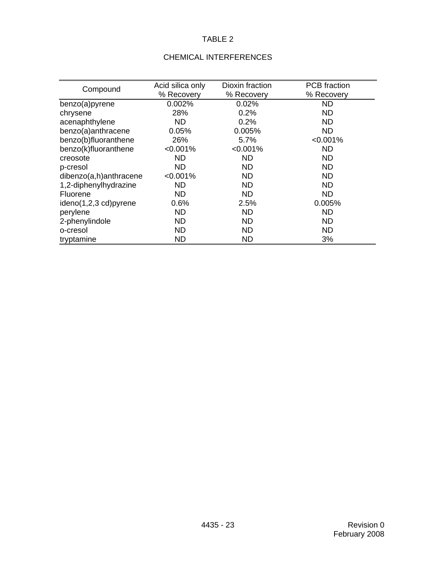# CHEMICAL INTERFERENCES

| Compound               | Acid silica only | Dioxin fraction | <b>PCB</b> fraction |
|------------------------|------------------|-----------------|---------------------|
|                        | % Recovery       | % Recovery      | % Recovery          |
| benzo(a)pyrene         | 0.002%           | 0.02%           | <b>ND</b>           |
| chrysene               | 28%              | 0.2%            | <b>ND</b>           |
| acenaphthylene         | <b>ND</b>        | 0.2%            | <b>ND</b>           |
| benzo(a)anthracene     | 0.05%            | 0.005%          | ND                  |
| benzo(b)fluoranthene   | 26%              | 5.7%            | $< 0.001\%$         |
| benzo(k)fluoranthene   | $< 0.001\%$      | $< 0.001\%$     | ND.                 |
| creosote               | <b>ND</b>        | <b>ND</b>       | ND.                 |
| p-cresol               | <b>ND</b>        | ND              | ND.                 |
| dibenzo(a,h)anthracene | $< 0.001\%$      | <b>ND</b>       | ND.                 |
| 1,2-diphenylhydrazine  | <b>ND</b>        | ND.             | <b>ND</b>           |
| Fluorene               | <b>ND</b>        | <b>ND</b>       | <b>ND</b>           |
| ideno(1,2,3 cd)pyrene  | 0.6%             | 2.5%            | 0.005%              |
| perylene               | <b>ND</b>        | <b>ND</b>       | <b>ND</b>           |
| 2-phenylindole         | <b>ND</b>        | <b>ND</b>       | <b>ND</b>           |
| o-cresol               | <b>ND</b>        | <b>ND</b>       | <b>ND</b>           |
| tryptamine             | <b>ND</b>        | <b>ND</b>       | 3%                  |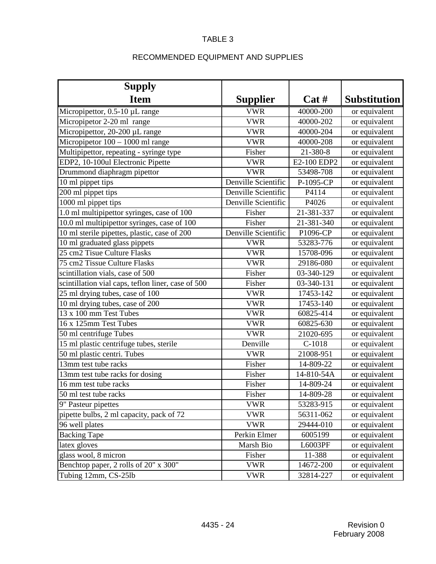# RECOMMENDED EQUIPMENT AND SUPPLIES

| <b>Supply</b>                                      |                     |             |                     |
|----------------------------------------------------|---------------------|-------------|---------------------|
| <b>Item</b>                                        | <b>Supplier</b>     | Cat#        | <b>Substitution</b> |
| Micropipettor, 0.5-10 µL range                     | <b>VWR</b>          | 40000-200   | or equivalent       |
| Micropipetor 2-20 ml range                         | <b>VWR</b>          | 40000-202   | or equivalent       |
| Micropipettor, 20-200 µL range                     | <b>VWR</b>          | 40000-204   | or equivalent       |
| Micropipetor $100 - 1000$ ml range                 | <b>VWR</b>          | 40000-208   | or equivalent       |
| Multipipettor, repeating - syringe type            | Fisher              | 21-380-8    | or equivalent       |
| EDP2, 10-100ul Electronic Pipette                  | <b>VWR</b>          | E2-100 EDP2 | or equivalent       |
| Drummond diaphragm pipettor                        | <b>VWR</b>          | 53498-708   | or equivalent       |
| 10 ml pippet tips                                  | Denville Scientific | P-1095-CP   | or equivalent       |
| 200 ml pippet tips                                 | Denville Scientific | P4114       | or equivalent       |
| 1000 ml pippet tips                                | Denville Scientific | P4026       | or equivalent       |
| 1.0 ml multipipettor syringes, case of 100         | Fisher              | 21-381-337  | or equivalent       |
| 10.0 ml multipipettor syringes, case of 100        | Fisher              | 21-381-340  | or equivalent       |
| 10 ml sterile pipettes, plastic, case of 200       | Denville Scientific | P1096-CP    | or equivalent       |
| 10 ml graduated glass pippets                      | <b>VWR</b>          | 53283-776   | or equivalent       |
| 25 cm2 Tisue Culture Flasks                        | <b>VWR</b>          | 15708-096   | or equivalent       |
| 75 cm2 Tissue Culture Flasks                       | <b>VWR</b>          | 29186-080   | or equivalent       |
| scintillation vials, case of 500                   | Fisher              | 03-340-129  | or equivalent       |
| scintillation vial caps, teflon liner, case of 500 | Fisher              | 03-340-131  | or equivalent       |
| 25 ml drying tubes, case of 100                    | <b>VWR</b>          | 17453-142   | or equivalent       |
| 10 ml drying tubes, case of 200                    | <b>VWR</b>          | 17453-140   | or equivalent       |
| 13 x 100 mm Test Tubes                             | <b>VWR</b>          | 60825-414   | or equivalent       |
| 16 x 125mm Test Tubes                              | <b>VWR</b>          | 60825-630   | or equivalent       |
| 50 ml centrifuge Tubes                             | <b>VWR</b>          | 21020-695   | or equivalent       |
| 15 ml plastic centrifuge tubes, sterile            | Denville            | $C-1018$    | or equivalent       |
| 50 ml plastic centri. Tubes                        | <b>VWR</b>          | 21008-951   | or equivalent       |
| 13mm test tube racks                               | Fisher              | 14-809-22   | or equivalent       |
| 13mm test tube racks for dosing                    | Fisher              | 14-810-54A  | or equivalent       |
| 16 mm test tube racks                              | Fisher              | 14-809-24   | or equivalent       |
| 50 ml test tube racks                              | Fisher              | 14-809-28   | or equivalent       |
| 9" Pasteur pipettes                                | <b>VWR</b>          | 53283-915   | or equivalent       |
| pipette bulbs, 2 ml capacity, pack of 72           | <b>VWR</b>          | 56311-062   | or equivalent       |
| 96 well plates                                     | <b>VWR</b>          | 29444-010   | or equivalent       |
| <b>Backing Tape</b>                                | Perkin Elmer        | 6005199     | or equivalent       |
| latex gloves                                       | Marsh Bio           | L6003PF     | or equivalent       |
| glass wool, 8 micron                               | Fisher              | 11-388      | or equivalent       |
| Benchtop paper, 2 rolls of 20" x 300"              | <b>VWR</b>          | 14672-200   | or equivalent       |
| Tubing 12mm, CS-25lb                               | <b>VWR</b>          | 32814-227   | or equivalent       |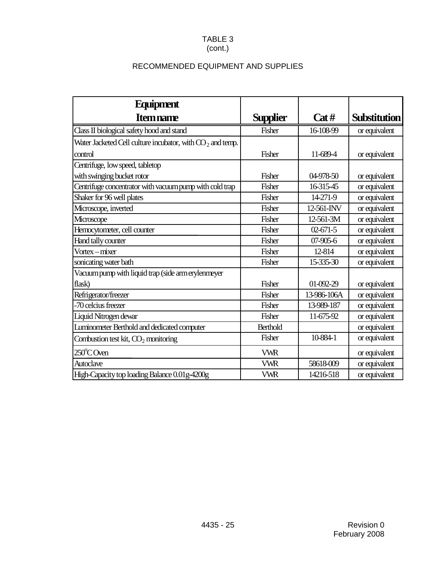# (cont.)

# RECOMMENDED EQUIPMENT AND SUPPLIES

| <b>Equipment</b>                                            |                 |                |                     |
|-------------------------------------------------------------|-----------------|----------------|---------------------|
| <b>Item name</b>                                            | <b>Supplier</b> | Cat#           | <b>Substitution</b> |
| Class II biological safety hood and stand                   | Fisher          | 16-108-99      | or equivalent       |
| Water Jacketed Cell culture incubator, with $CO2$ and temp. |                 |                |                     |
| control                                                     | Fisher          | 11-689-4       | or equivalent       |
| Centrifuge, low speed, tabletop                             |                 |                |                     |
| with swinging bucket rotor                                  | Fisher          | 04-978-50      | or equivalent       |
| Centrifuge concentrator with vacuum pump with cold trap     | Fisher          | 16-315-45      | or equivalent       |
| Shaker for 96 well plates                                   | Fisher          | 14-271-9       | or equivalent       |
| Microscope, inverted                                        | Fisher          | 12-561-INV     | or equivalent       |
| Microscope                                                  | Fisher          | 12-561-3M      | or equivalent       |
| Hemocytometer, cell counter                                 | Fisher          | $02 - 671 - 5$ | or equivalent       |
| Hand tally counter                                          | Fisher          | $07-905-6$     | or equivalent       |
| Vortex – mixer                                              | Fisher          | 12-814         | or equivalent       |
| sonicating water bath                                       | Fisher          | 15-335-30      | or equivalent       |
| Vacuum pump with liquid trap (side arm erylenmeyer          |                 |                |                     |
| flask)                                                      | Fisher          | 01-092-29      | or equivalent       |
| Refrigerator/freezer                                        | Fisher          | 13-986-106A    | or equivalent       |
| -70 celcius freezer                                         | Fisher          | 13-989-187     | or equivalent       |
| Liquid Nitrogen dewar                                       | Fisher          | 11-675-92      | or equivalent       |
| Luminometer Berthold and dedicated computer                 | <b>Berthold</b> |                | or equivalent       |
| Combustion test kit, $CO2$ monitoring                       | Fisher          | 10-884-1       | or equivalent       |
| $250^{\circ}$ C Oven                                        | <b>VWR</b>      |                | or equivalent       |
| <b>Autoclave</b>                                            | <b>VWR</b>      | 58618-009      | or equivalent       |
| High-Capacity top loading Balance 0.01g-4200g               | <b>VWR</b>      | 14216-518      | or equivalent       |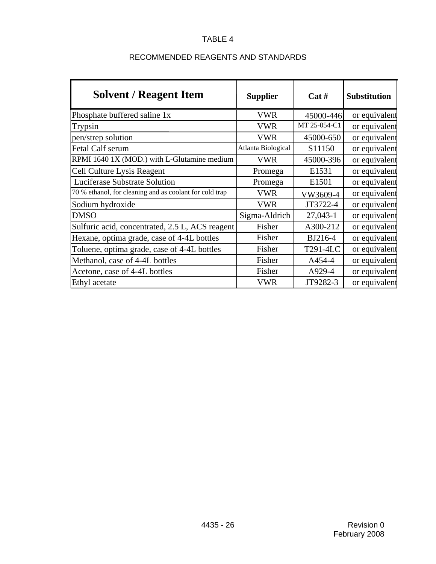| <b>Solvent / Reagent Item</b>                           | <b>Supplier</b>    | Cat#               | <b>Substitution</b> |
|---------------------------------------------------------|--------------------|--------------------|---------------------|
| Phosphate buffered saline 1x                            | <b>VWR</b>         | 45000-446          | or equivalent       |
| Trypsin                                                 | <b>VWR</b>         | MT 25-054-C1       | or equivalent       |
| pen/strep solution                                      | <b>VWR</b>         | 45000-650          | or equivalent       |
| Fetal Calf serum                                        | Atlanta Biological | S <sub>11150</sub> | or equivalent       |
| RPMI 1640 1X (MOD.) with L-Glutamine medium             | VWR                | 45000-396          | or equivalent       |
| Cell Culture Lysis Reagent                              | Promega            | E1531              | or equivalent       |
| Luciferase Substrate Solution                           | Promega            | E1501              | or equivalent       |
| 70 % ethanol, for cleaning and as coolant for cold trap | <b>VWR</b>         | VW3609-4           | or equivalent       |
| Sodium hydroxide                                        | <b>VWR</b>         | JT3722-4           | or equivalent       |
| <b>DMSO</b>                                             | Sigma-Aldrich      | 27,043-1           | or equivalent       |
| Sulfuric acid, concentrated, 2.5 L, ACS reagent         | Fisher             | A300-212           | or equivalent       |
| Hexane, optima grade, case of 4-4L bottles              | Fisher             | BJ216-4            | or equivalent       |
| Toluene, optima grade, case of 4-4L bottles             | Fisher             | T291-4LC           | or equivalent       |
| Methanol, case of 4-4L bottles                          | Fisher             | A454-4             | or equivalent       |
| Acetone, case of 4-4L bottles                           | Fisher             | A929-4             | or equivalent       |
| Ethyl acetate                                           | <b>VWR</b>         | JT9282-3           | or equivalent       |

# RECOMMENDED REAGENTS AND STANDARDS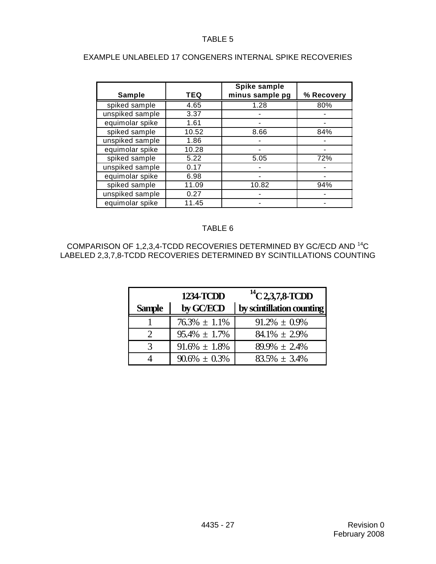| <b>Sample</b>   | <b>TEQ</b> | Spike sample<br>minus sample pg | % Recovery |
|-----------------|------------|---------------------------------|------------|
|                 |            |                                 |            |
| spiked sample   | 4.65       | 1.28                            | 80%        |
| unspiked sample | 3.37       |                                 |            |
| equimolar spike | 1.61       |                                 |            |
| spiked sample   | 10.52      | 8.66                            | 84%        |
| unspiked sample | 1.86       |                                 |            |
| equimolar spike | 10.28      |                                 |            |
| spiked sample   | 5.22       | 5.05                            | 72%        |
| unspiked sample | 0.17       |                                 |            |
| equimolar spike | 6.98       |                                 |            |
| spiked sample   | 11.09      | 10.82                           | 94%        |
| unspiked sample | 0.27       |                                 |            |
| equimolar spike | 11.45      |                                 |            |

### EXAMPLE UNLABELED 17 CONGENERS INTERNAL SPIKE RECOVERIES

# TABLE 6

COMPARISON OF 1,2,3,4-TCDD RECOVERIES DETERMINED BY GC/ECD AND 14C LABELED 2,3,7,8-TCDD RECOVERIES DETERMINED BY SCINTILLATIONS COUNTING

|               | <b>1234 TCDD</b>   | $^{14}$ C 2,3,7,8-TCDD    |
|---------------|--------------------|---------------------------|
| <b>Sample</b> | by GC/ECD          | by scintillation counting |
|               | $76.3\% \pm 1.1\%$ | $91.2\% \pm 0.9\%$        |
|               | $95.4\% \pm 1.7\%$ | $84.1\% \pm 2.9\%$        |
|               | $91.6\% \pm 1.8\%$ | $89.9\% \pm 2.4\%$        |
|               | $90.6\% \pm 0.3\%$ | $83.5\% + 3.4\%$          |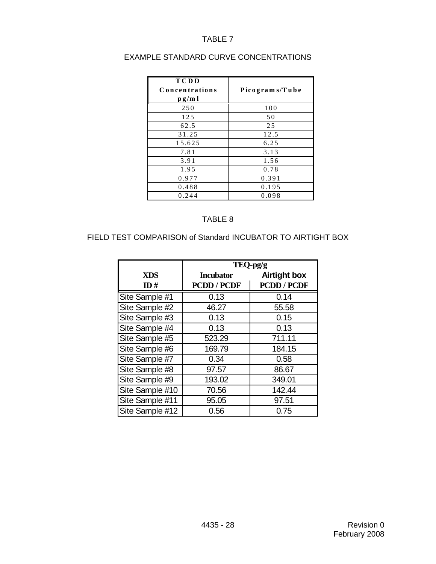| <b>TCDD</b><br>Concentrations<br>p g/m l | Picograms/Tube |
|------------------------------------------|----------------|
| 250                                      | 100            |
| 125                                      | 50             |
| 62.5                                     | 25             |
| 31.25                                    | 12.5           |
| 15.625                                   | 6.25           |
| 7.81                                     | 3.13           |
| 3.91                                     | 1.56           |
| 1.95                                     | 0.78           |
| 0.977                                    | 0.391          |
| 0.488                                    | 0.195          |
| 0.244                                    | 0.098          |

# EXAMPLE STANDARD CURVE CONCENTRATIONS

#### TABLE 8

# FIELD TEST COMPARISON of Standard INCUBATOR TO AIRTIGHT BOX

|                 | TEQ-pg/g         |                     |  |  |  |
|-----------------|------------------|---------------------|--|--|--|
| <b>XDS</b>      | <b>Incubator</b> | <b>Airtight box</b> |  |  |  |
| ID#             | PCDD / PCDF      | <b>PCDD / PCDF</b>  |  |  |  |
| Site Sample #1  | 0.13             | 0.14                |  |  |  |
| Site Sample #2  | 46.27            | 55.58               |  |  |  |
| Site Sample #3  | 0.13             | 0.15                |  |  |  |
| Site Sample #4  | 0.13             | 0.13                |  |  |  |
| Site Sample #5  | 523.29           | 711.11              |  |  |  |
| Site Sample #6  | 169.79           | 184.15              |  |  |  |
| Site Sample #7  | 0.34             | 0.58                |  |  |  |
| Site Sample #8  | 97.57            | 86.67               |  |  |  |
| Site Sample #9  | 193.02           | 349.01              |  |  |  |
| Site Sample #10 | 70.56            | 142.44              |  |  |  |
| Site Sample #11 | 95.05            | 97.51               |  |  |  |
| Site Sample #12 | 0.56             | 0.75                |  |  |  |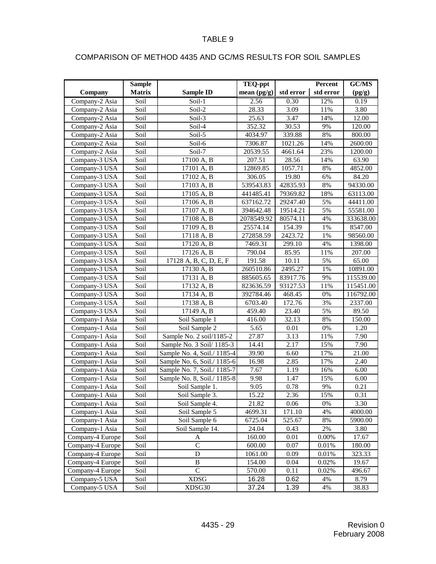# COMPARISON OF METHOD 4435 AND GC/MS RESULTS FOR SOIL SAMPLES

|                  | <b>Sample</b>            |                             | <b>TEQ-ppt</b> |                   | Percent   | GC/MS     |
|------------------|--------------------------|-----------------------------|----------------|-------------------|-----------|-----------|
| Company          | <b>Matrix</b>            | <b>Sample ID</b>            | mean $(pg/g)$  | std error         | std error | (pg/g)    |
| Company-2 Asia   | Soil                     | Soil-1                      | 2.56           | 0.30              | 12%       | 0.19      |
| Company-2 Asia   | Soil                     | Soil-2                      | 28.33          | 3.09              | 11%       | 3.80      |
| Company-2 Asia   | Soil                     | Soil-3                      | 25.63          | 3.47              | 14%       | 12.00     |
| Company-2 Asia   | Soil                     | Soil-4                      | 352.32         | 30.53             | 9%        | 120.00    |
| Company-2 Asia   | Soil                     | Soil-5                      | 4034.97        | 339.88            | $8\%$     | 800.00    |
| Company-2 Asia   | Soil                     | Soil-6                      | 7306.87        | 1021.26           | 14%       | 2600.00   |
| Company-2 Asia   | Soil                     | Soil-7                      | 20539.55       | 4661.64           | 23%       | 1200.00   |
| Company-3 USA    | Soil                     | 17100 A, B                  | 207.51         | 28.56             | 14%       | 63.90     |
| Company-3 USA    | Soil                     | 17101 A, B                  | 12869.85       | 1057.71           | 8%        | 4852.00   |
| Company-3 USA    | Soil                     | 17102 A, B                  | 306.05         | 19.80             | 6%        | 84.20     |
| Company-3 USA    | Soil                     | 17103 A, B                  | 539543.83      | 42835.93          | 8%        | 94330.00  |
| Company-3 USA    | Soil                     | 17105 A, B                  | 441485.41      | 79369.82          | 18%       | 63113.00  |
| Company-3 USA    | Soil                     | 17106 A, B                  | 637162.72      | 29247.40          | 5%        | 44411.00  |
| Company-3 USA    | $\overline{\text{Soil}}$ | 17107 A, B                  | 394642.48      | 19514.21          | 5%        | 55581.00  |
| Company-3 USA    | Soil                     | 17108 A, B                  | 2078549.92     | 80574.11          | 4%        | 333638.00 |
| Company-3 USA    | Soil                     | 17109 A, B                  | 25574.14       | 154.39            | $1\%$     | 8547.00   |
| Company-3 USA    | Soil                     | 17118 A, B                  | 272858.59      | 2423.72           | $1\%$     | 98560.00  |
| Company-3 USA    | Soil                     | 17120 A, B                  | 7469.31        | 299.10            | 4%        | 1398.00   |
| Company-3 USA    | Soil                     | 17126 A, B                  | 790.04         | 85.95             | 11%       | 207.00    |
| Company-3 USA    | Soil                     | 17128 A, B, C, D, E, F      | 191.58         | 10.11             | 5%        | 65.00     |
| Company-3 USA    | Soil                     | 17130 A, B                  | 260510.86      | 2495.27           | 1%        | 10891.00  |
| Company-3 USA    | Soil                     | 17131 A, B                  | 885605.65      | 83917.76          | 9%        | 115539.00 |
| Company-3 USA    | Soil                     | 17132 A, B                  | 823636.59      | 93127.53          | 11%       | 115451.00 |
| Company-3 USA    | Soil                     | 17134 A, B                  | 392784.46      | 468.45            | 0%        | 116792.00 |
| Company-3 USA    | Soil                     | 17138 A, B                  | 6703.40        | 172.76            | 3%        | 2337.00   |
| Company-3 USA    | Soil                     | 17149 A, B                  | 459.40         | 23.40             | 5%        | 89.50     |
| Company-1 Asia   | Soil                     | Soil Sample 1               | 416.00         | 32.13             | 8%        | 150.00    |
| Company-1 Asia   | Soil                     | Soil Sample 2               | 5.65           | 0.01              | $0\%$     | 1.20      |
| Company-1 Asia   | Soil                     | Sample No. 2 soil/1185-2    | 27.87          | 3.13              | $11\%$    | 7.90      |
| Company-1 Asia   | Soil                     | Sample No. 3 Soil/ 1185-3   | 14.41          | $\overline{2.17}$ | 15%       | 7.90      |
| Company-1 Asia   | Soil                     | Sample No. 4, Soil./ 1185-4 | 39.90          | 6.60              | 17%       | 21.00     |
| Company-1 Asia   | Soil                     | Sample No. 6, Soil./ 1185-6 | 16.98          | 2.85              | 17%       | 2.40      |
| Company-1 Asia   | Soil                     | Sample No. 7, Soil./ 1185-7 | 7.67           | 1.19              | 16%       | 6.00      |
| Company-1 Asia   | Soil                     | Sample No. 8, Soil./ 1185-8 | 9.98           | 1.47              | 15%       | 6.00      |
| Company-1 Asia   | Soil                     | Soil Sample 1.              | 9.05           | 0.78              | 9%        | 0.21      |
| Company-1 Asia   | Soil                     | Soil Sample 3.              | 15.22          | 2.36              | 15%       | 0.31      |
| Company-1 Asia   | Soil                     | Soil Sample 4.              | 21.82          | 0.06              | 0%        | 3.30      |
| Company-1 Asia   | Soil                     | Soil Sample 5               | 4699.31        | 171.10            | 4%        | 4000.00   |
| Company-1 Asia   | Soil                     | Soil Sample 6               | 6725.04        | 525.67            | 8%        | 5900.00   |
| Company-1 Asia   | Soil                     | Soil Sample 14.             | 24.04          | 0.43              | 2%        | 3.80      |
| Company-4 Europe | Soil                     | A                           | 160.00         | 0.01              | 0.00%     | 17.67     |
| Company-4 Europe | Soil                     | $\mathbf C$                 | 600.00         | 0.07              | 0.01%     | 180.00    |
| Company-4 Europe | Soil                     | ${\rm D}$                   | 1061.00        | 0.09              | 0.01%     | 323.33    |
| Company-4 Europe | Soil                     | B                           | 154.00         | 0.04              | 0.02%     | 19.67     |
| Company-4 Europe | Soil                     | $\overline{C}$              | 570.00         | 0.11              | 0.02%     | 496.67    |
| Company-5 USA    | Soil                     | XDSG                        | 16.28          | 0.62              | 4%        | 8.79      |
| Company-5 USA    | Soil                     | XDSG30                      | 37.24          | 1.39              | 4%        | 38.83     |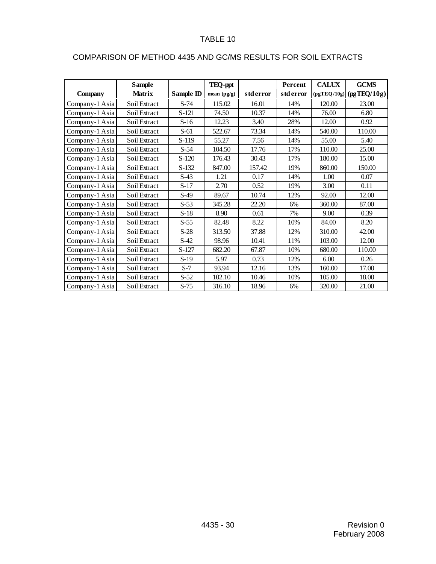|                | <b>Sample</b> |           | <b>TEQ-ppt</b> |           | Percent   | <b>CALUX</b> | <b>GCMS</b>               |
|----------------|---------------|-----------|----------------|-----------|-----------|--------------|---------------------------|
| <b>Company</b> | <b>Matrix</b> | Sample ID | mean (pg/g)    | std error | std error |              | $(pgTEQ/10g)$ (pgTEQ/10g) |
| Company-1 Asia | Soil Extract  | $S-74$    | 115.02         | 16.01     | 14%       | 120.00       | 23.00                     |
| Company-1 Asia | Soil Extract  | S-121     | 74.50          | 10.37     | 14%       | 76.00        | 6.80                      |
| Company-1 Asia | Soil Extract  | $S-16$    | 12.23          | 3.40      | 28%       | 12.00        | 0.92                      |
| Company-1 Asia | Soil Extract  | $S-61$    | 522.67         | 73.34     | 14%       | 540.00       | 110.00                    |
| Company-1 Asia | Soil Extract  | $S-119$   | 55.27          | 7.56      | 14%       | 55.00        | 5.40                      |
| Company-1 Asia | Soil Extract  | $S-54$    | 104.50         | 17.76     | 17%       | 110.00       | 25.00                     |
| Company-1 Asia | Soil Extract  | $S-120$   | 176.43         | 30.43     | 17%       | 180.00       | 15.00                     |
| Company-1 Asia | Soil Extract  | $S-132$   | 847.00         | 157.42    | 19%       | 860.00       | 150.00                    |
| Company-1 Asia | Soil Extract  | $S-43$    | 1.21           | 0.17      | 14%       | 1.00         | 0.07                      |
| Company-1 Asia | Soil Extract  | $S-17$    | 2.70           | 0.52      | 19%       | 3.00         | 0.11                      |
| Company-1 Asia | Soil Extract  | $S-49$    | 89.67          | 10.74     | 12%       | 92.00        | 12.00                     |
| Company-1 Asia | Soil Extract  | $S-53$    | 345.28         | 22.20     | 6%        | 360.00       | 87.00                     |
| Company-1 Asia | Soil Extract  | $S-18$    | 8.90           | 0.61      | 7%        | 9.00         | 0.39                      |
| Company-1 Asia | Soil Extract  | $S-55$    | 82.48          | 8.22      | 10%       | 84.00        | 8.20                      |
| Company-1 Asia | Soil Extract  | $S-28$    | 313.50         | 37.88     | 12%       | 310.00       | 42.00                     |
| Company-1 Asia | Soil Extract  | $S-42$    | 98.96          | 10.41     | 11%       | 103.00       | 12.00                     |
| Company-1 Asia | Soil Extract  | S-127     | 682.20         | 67.87     | 10%       | 680.00       | 110.00                    |
| Company-1 Asia | Soil Extract  | $S-19$    | 5.97           | 0.73      | 12%       | 6.00         | 0.26                      |
| Company-1 Asia | Soil Extract  | $S-7$     | 93.94          | 12.16     | 13%       | 160.00       | 17.00                     |
| Company-1 Asia | Soil Extract  | $S-52$    | 102.10         | 10.46     | 10%       | 105.00       | 18.00                     |
| Company-1 Asia | Soil Extract  | $S-75$    | 316.10         | 18.96     | 6%        | 320.00       | 21.00                     |

# COMPARISON OF METHOD 4435 AND GC/MS RESULTS FOR SOIL EXTRACTS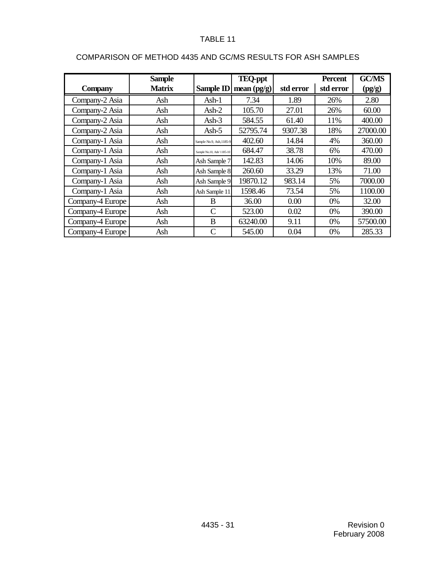|                  | <b>Sample</b> |                            | <b>TEQ-ppt</b>          |           | <b>Percent</b> | <b>GC/MS</b> |
|------------------|---------------|----------------------------|-------------------------|-----------|----------------|--------------|
| <b>Company</b>   | <b>Matrix</b> |                            | Sample ID mean $(pg/g)$ | std error | std error      | (pg/g)       |
| Company-2 Asia   | Ash           | $Ash-1$                    | 7.34                    | 1.89      | 26%            | 2.80         |
| Company-2 Asia   | Ash           | $Ash-2$                    | 105.70                  | 27.01     | 26%            | 60.00        |
| Company-2 Asia   | Ash           | Ash- $3$                   | 584.55                  | 61.40     | 11%            | 400.00       |
| Company-2 Asia   | Ash           | Ash- $5$                   | 52795.74                | 9307.38   | 18%            | 27000.00     |
| Company-1 Asia   | Ash           | Sample No.9, Ash, 1185-9   | 402.60                  | 14.84     | 4%             | 360.00       |
| Company-1 Asia   | Ash           | Sample No.10, Ash/ 1185-10 | 684.47                  | 38.78     | 6%             | 470.00       |
| Company-1 Asia   | Ash           | Ash Sample 7               | 142.83                  | 14.06     | 10%            | 89.00        |
| Company-1 Asia   | Ash           | Ash Sample 8               | 260.60                  | 33.29     | 13%            | 71.00        |
| Company-1 Asia   | Ash           | Ash Sample 9               | 19870.12                | 983.14    | 5%             | 7000.00      |
| Company-1 Asia   | Ash           | Ash Sample 11              | 1598.46                 | 73.54     | 5%             | 1100.00      |
| Company-4 Europe | Ash           | B                          | 36.00                   | 0.00      | $0\%$          | 32.00        |
| Company-4 Europe | Ash           | $\mathcal{C}$              | 523.00                  | 0.02      | 0%             | 390.00       |
| Company-4 Europe | Ash           | B                          | 63240.00                | 9.11      | $0\%$          | 57500.00     |
| Company-4 Europe | Ash           | C                          | 545.00                  | 0.04      | 0%             | 285.33       |

# COMPARISON OF METHOD 4435 AND GC/MS RESULTS FOR ASH SAMPLES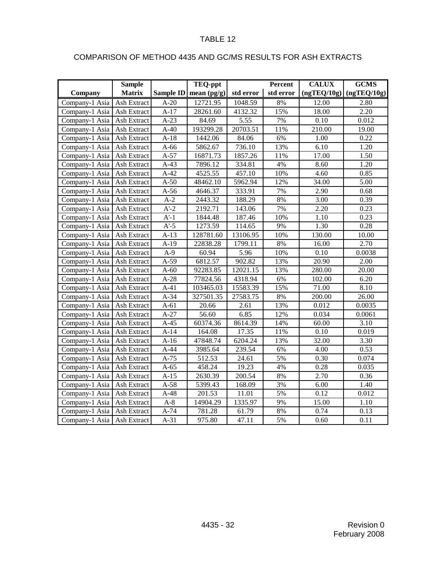# COMPARISON OF METHOD 4435 AND GC/MS RESULTS FOR ASH EXTRACTS

|                | <b>Sample</b>      |        | TEQ-ppt                 |           | <b>Percent</b> | <b>CALUX</b> | <b>GCMS</b> |
|----------------|--------------------|--------|-------------------------|-----------|----------------|--------------|-------------|
| Company        | <b>Matrix</b>      |        | Sample ID mean $(pg/g)$ | std error | std error      | (ngTEQ/10g)  | (ngTEQ/10g) |
| Company-1 Asia | Ash Extract        | $A-20$ | 12721.95                | 1048.59   | 8%             | 12.00        | 2.80        |
| Company-1 Asia | Ash Extract        | $A-17$ | 28261.60                | 4132.32   | 15%            | 18.00        | 2.20        |
| Company-1 Asia | Ash Extract        | $A-23$ | 84.69                   | 5.55      | 7%             | 0.10         | 0.012       |
| Company-1 Asia | Ash Extract        | $A-40$ | 193299.28               | 20703.51  | 11%            | 210.00       | 19.00       |
| Company-1 Asia | Ash Extract        | $A-18$ | 1442.06                 | 84.06     | 6%             | 1.00         | 0.22        |
| Company-1 Asia | Ash Extract        | $A-66$ | 5862.67                 | 736.10    | 13%            | 6.10         | 1.20        |
| Company-1 Asia | Ash Extract        | $A-57$ | 16871.73                | 1857.26   | 11%            | 17.00        | 1.50        |
| Company-1 Asia | <b>Ash Extract</b> | $A-43$ | 7896.12                 | 334.81    | 4%             | 8.60         | 1.20        |
| Company-1 Asia | Ash Extract        | $A-42$ | 4525.55                 | 457.10    | 10%            | 4.60         | 0.85        |
| Company-1 Asia | Ash Extract        | $A-50$ | 48462.10                | 5962.94   | 12%            | 34.00        | 5.00        |
| Company-1 Asia | Ash Extract        | $A-56$ | 4646.37                 | 333.91    | 7%             | 2.90         | 0.68        |
| Company-1 Asia | Ash Extract        | $A-2$  | 2443.32                 | 188.29    | 8%             | 3.00         | 0.39        |
| Company-1 Asia | Ash Extract        | $A'-2$ | 2192.71                 | 143.06    | 7%             | 2.20         | 0.23        |
| Company-1 Asia | Ash Extract        | $A'-1$ | 1844.48                 | 187.46    | 10%            | 1.10         | 0.23        |
| Company-1 Asia | Ash Extract        | $A'-5$ | 1273.59                 | 114.65    | 9%             | 1.30         | 0.28        |
| Company-1 Asia | Ash Extract        | $A-13$ | 128781.60               | 13106.95  | 10%            | 130.00       | 10.00       |
| Company-1 Asia | <b>Ash Extract</b> | $A-19$ | 22838.28                | 1799.11   | 8%             | 16.00        | 2.70        |
| Company-1 Asia | Ash Extract        | $A-9$  | 60.94                   | 5.96      | 10%            | 0.10         | 0.0038      |
| Company-1 Asia | Ash Extract        | $A-59$ | 6812.57                 | 902.82    | 13%            | 20.90        | 2.00        |
| Company-1 Asia | Ash Extract        | $A-60$ | 92283.85                | 12021.15  | 13%            | 280.00       | 20.00       |
| Company-1 Asia | Ash Extract        | $A-28$ | 77824.56                | 4318.94   | 6%             | 102.00       | 6.20        |
| Company-1 Asia | Ash Extract        | $A-41$ | 103465.03               | 15583.39  | 15%            | 71.00        | 8.10        |
| Company-1 Asia | Ash Extract        | $A-34$ | 327501.35               | 27583.75  | $8\%$          | 200.00       | 26.00       |
| Company-1 Asia | Ash Extract        | $A-61$ | 20.66                   | 2.61      | 13%            | 0.012        | 0.0035      |
| Company-1 Asia | Ash Extract        | $A-27$ | 56.60                   | 6.85      | 12%            | 0.034        | 0.0061      |
| Company-1 Asia | Ash Extract        | $A-45$ | 60374.36                | 8614.39   | 14%            | 60.00        | 3.10        |
| Company-1 Asia | Ash Extract        | $A-14$ | 164.08                  | 17.35     | 11%            | 0.10         | 0.019       |
| Company-1 Asia | Ash Extract        | $A-16$ | 47848.74                | 6204.24   | 13%            | 32.00        | 3.30        |
| Company-1 Asia | Ash Extract        | $A-44$ | 3985.64                 | 239.54    | 6%             | 4.00         | 0.53        |
| Company-1 Asia | Ash Extract        | $A-75$ | 512.53                  | 24.61     | 5%             | 0.30         | 0.074       |
| Company-1 Asia | Ash Extract        | $A-65$ | 458.24                  | 19.23     | 4%             | 0.28         | 0.035       |
| Company-1 Asia | Ash Extract        | $A-15$ | 2630.39                 | 200.54    | 8%             | 2.70         | 0.36        |
| Company-1 Asia | Ash Extract        | $A-58$ | 5399.43                 | 168.09    | 3%             | 6.00         | 1.40        |
| Company-1 Asia | Ash Extract        | $A-48$ | 201.53                  | 11.01     | 5%             | 0.12         | 0.012       |
| Company-1 Asia | Ash Extract        | $A-8$  | 14904.29                | 1335.97   | 9%             | 15.00        | 1.10        |
| Company-1 Asia | Ash Extract        | $A-74$ | 781.28                  | 61.79     | $8\%$          | 0.74         | 0.13        |
| Company-1 Asia | Ash Extract        | $A-31$ | 975.80                  | 47.11     | 5%             | 0.60         | 0.11        |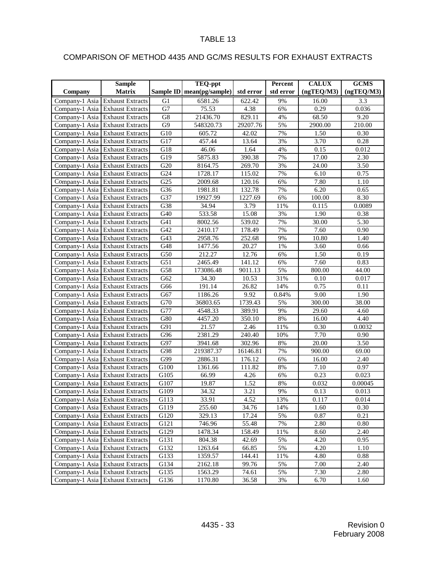# COMPARISON OF METHOD 4435 AND GC/MS RESULTS FOR EXHAUST EXTRACTS

|         | <b>Sample</b>                   |                  | TEQ-ppt                     |           | Percent   | <b>CALUX</b>       | <b>GCMS</b>       |
|---------|---------------------------------|------------------|-----------------------------|-----------|-----------|--------------------|-------------------|
| Company | Matrix                          |                  | Sample ID   mean(pg/sample) | std error | std error | (ngTEQ/M3)         | (ngTEQ/M3)        |
|         | Company-1 Asia Exhaust Extracts | G1               | $\overline{6581.26}$        | 622.42    | 9%        | 16.00              | 3.3               |
|         | Company-1 Asia Exhaust Extracts | G7               | 75.53                       | 4.38      | 6%        | 0.29               | 0.036             |
|         | Company-1 Asia Exhaust Extracts | G8               | 21436.70                    | 829.11    | 4%        | 68.50              | 9.20              |
|         | Company-1 Asia Exhaust Extracts | G9               | 548320.73                   | 29207.76  | 5%        | 2900.00            | 210.00            |
|         | Company-1 Asia Exhaust Extracts | $\overline{G10}$ | 605.72                      | 42.02     | 7%        | 1.50               | 0.30              |
|         | Company-1 Asia Exhaust Extracts | G17              | 457.44                      | 13.64     | 3%        | 3.70               | 0.28              |
|         | Company-1 Asia Exhaust Extracts | G18              | 46.06                       | 1.64      | 4%        | 0.15               | 0.012             |
|         | Company-1 Asia Exhaust Extracts | G19              | 5875.83                     | 390.38    | 7%        | 17.00              | $\overline{2.30}$ |
|         | Company-1 Asia Exhaust Extracts | G20              | 8164.75                     | 269.70    | 3%        | 24.00              | 3.50              |
|         | Company-1 Asia Exhaust Extracts | G24              | 1728.17                     | 115.02    | 7%        | 6.10               | 0.75              |
|         | Company-1 Asia Exhaust Extracts | G <sub>25</sub>  | 2009.68                     | 120.16    | 6%        | 7.80               | 1.10              |
|         | Company-1 Asia Exhaust Extracts | G36              | 1981.81                     | 132.78    | 7%        | 6.20               | 0.65              |
|         | Company-1 Asia Exhaust Extracts | G37              | 19927.99                    | 1227.69   | 6%        | 100.00             | 8.30              |
|         | Company-1 Asia Exhaust Extracts | $\overline{G}38$ | 34.94                       | 3.79      | 11%       | 0.115              | 0.0089            |
|         | Company-1 Asia Exhaust Extracts | G40              | 533.58                      | 15.08     | 3%        | 1.90               | 0.38              |
|         | Company-1 Asia Exhaust Extracts | G41              | 8002.56                     | 539.02    | 7%        | 30.00              | 5.30              |
|         | Company-1 Asia Exhaust Extracts | G42              | 2410.17                     | 178.49    | 7%        | 7.60               | 0.90              |
|         | Company-1 Asia Exhaust Extracts | G43              | 2958.76                     | 252.68    | 9%        | 10.80              | 1.40              |
|         | Company-1 Asia Exhaust Extracts | G48              | 1477.56                     | 20.27     | 1%        | 3.60               | 0.66              |
|         | Company-1 Asia Exhaust Extracts | $\overline{G50}$ | 212.27                      | 12.76     | 6%        | 1.50               | 0.19              |
|         | Company-1 Asia Exhaust Extracts | G51              | 2465.49                     | 141.12    | 6%        | 7.60               | 0.83              |
|         | Company-1 Asia Exhaust Extracts | G58              | 173086.48                   | 9011.13   | 5%        | 800.00             | 44.00             |
|         | Company-1 Asia Exhaust Extracts | G62              | 34.30                       | 10.53     | 31%       | 0.10               | 0.017             |
|         | Company-1 Asia Exhaust Extracts | G66              | 191.14                      | 26.82     | 14%       | 0.75               | 0.11              |
|         | Company-1 Asia Exhaust Extracts | G67              | 1186.26                     | 9.92      | 0.84%     | 9.00               | 1.90              |
|         | Company-1 Asia Exhaust Extracts | G70              | 36803.65                    | 1739.43   | 5%        | 300.00             | 38.00             |
|         | Company-1 Asia Exhaust Extracts | $\overline{G77}$ | 4548.33                     | 389.91    | 9%        | $\overline{29.60}$ | 4.60              |
|         | Company-1 Asia Exhaust Extracts | G80              | 4457.20                     | 350.10    | 8%        | 16.00              | 4.40              |
|         | Company-1 Asia Exhaust Extracts | G91              | 21.57                       | 2.46      | 11%       | 0.30               | 0.0032            |
|         | Company-1 Asia Exhaust Extracts | G96              | 2381.29                     | 240.40    | 10%       | 7.70               | 0.90              |
|         | Company-1 Asia Exhaust Extracts | G97              | 3941.68                     | 302.96    | 8%        | 20.00              | 3.50              |
|         | Company-1 Asia Exhaust Extracts | G98              | 219387.37                   | 16146.81  | 7%        | 900.00             | 69.00             |
|         | Company-1 Asia Exhaust Extracts | G99              | 2886.31                     | 176.12    | 6%        | 16.00              | 2.40              |
|         | Company-1 Asia Exhaust Extracts | G100             | 1361.66                     | 111.82    | 8%        | 7.10               | 0.97              |
|         | Company-1 Asia Exhaust Extracts | G105             | 66.99                       | 4.26      | 6%        | 0.23               | 0.023             |
|         | Company-1 Asia Exhaust Extracts | G107             | 19.87                       | 1.52      | $8\%$     | 0.032              | 0.00045           |
|         | Company-1 Asia Exhaust Extracts | G109             | 34.32                       | 3.21      | 9%        | 0.13               | 0.013             |
|         | Company-1 Asia Exhaust Extracts | G113             | 33.91                       | 4.52      | 13%       | 0.117              | 0.014             |
|         | Company-1 Asia Exhaust Extracts | G119             | 255.60                      | 34.76     | 14%       | 1.60               | 0.30              |
|         | Company-1 Asia Exhaust Extracts | G120             | 329.13                      | 17.24     | 5%        | 0.87               | 0.21              |
|         | Company-1 Asia Exhaust Extracts | G121             | 746.96                      | 55.48     | 7%        | 2.80               | 0.80              |
|         | Company-1 Asia Exhaust Extracts | G129             | 1478.34                     | 158.49    | 11%       | 8.60               | 2.40              |
|         | Company-1 Asia Exhaust Extracts | G131             | 804.38                      | 42.69     | 5%        | 4.20               | 0.95              |
|         | Company-1 Asia Exhaust Extracts | G132             | 1263.64                     | 66.85     | 5%        | 4.20               | 1.10              |
|         | Company-1 Asia Exhaust Extracts | G133             | 1359.57                     | 144.41    | 11%       | 4.80               | 0.88              |
|         | Company-1 Asia Exhaust Extracts | G134             | 2162.18                     | 99.76     | 5%        | 7.00               | 2.40              |
|         | Company-1 Asia Exhaust Extracts | G135             | 1563.29                     | 74.61     | 5%        | 7.30               | 2.80              |
|         | Company-1 Asia Exhaust Extracts | G136             | 1170.80                     | 36.58     | 3%        | 6.70               | 1.60              |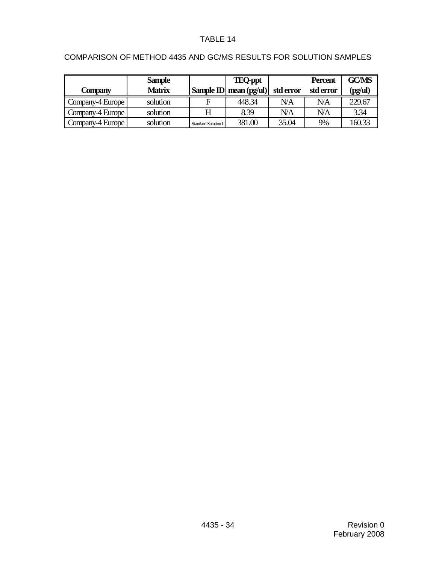|                  | <b>Sample</b> |                            | <b>TEQ-ppt</b>                              |           | <b>Percent</b> | <b>GC/MS</b> |
|------------------|---------------|----------------------------|---------------------------------------------|-----------|----------------|--------------|
| Company          | <b>Matrix</b> |                            | Sample ID mean $\left(\frac{pg}{ul}\right)$ | std error | std error      | (pg/ul)      |
| Company-4 Europe | solution      | F                          | 448.34                                      | N/A       | NΆ             | 229.67       |
| Company-4 Europe | solution      | H                          | 8.39                                        | NΆ        | NΆ             | 3.34         |
| Company-4 Europe | solution      | <b>Standard Solution L</b> | 381.00                                      | 35.04     | 9%             | 160.33       |

# COMPARISON OF METHOD 4435 AND GC/MS RESULTS FOR SOLUTION SAMPLES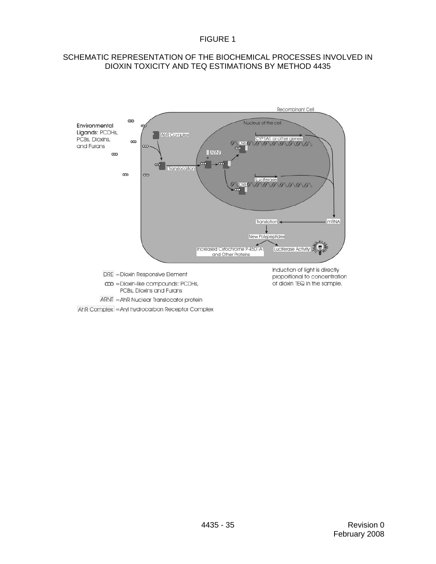#### SCHEMATIC REPRESENTATION OF THE BIOCHEMICAL PROCESSES INVOLVED IN DIOXIN TOXICITY AND TEQ ESTIMATIONS BY METHOD 4435



AhR Complex = Aryl hydrocarbon Receptor Complex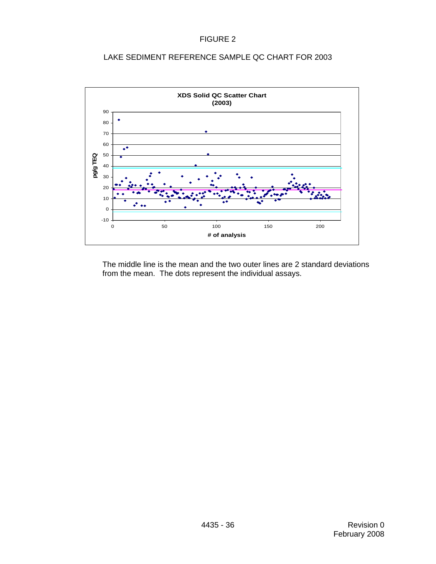### LAKE SEDIMENT REFERENCE SAMPLE QC CHART FOR 2003

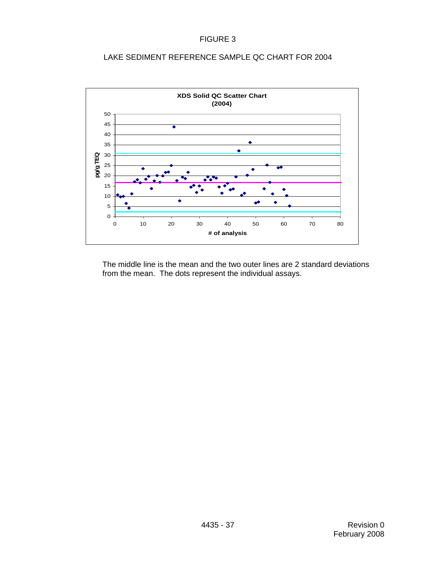### LAKE SEDIMENT REFERENCE SAMPLE QC CHART FOR 2004

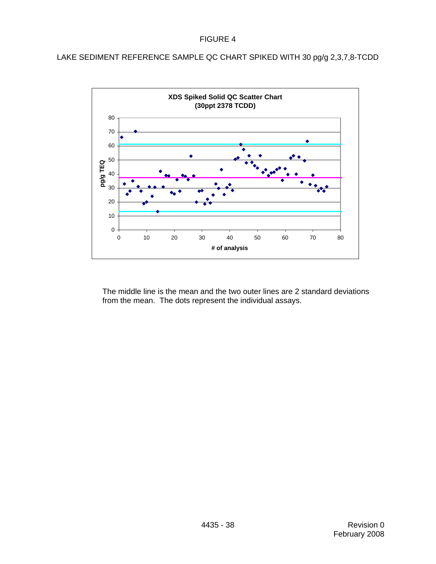LAKE SEDIMENT REFERENCE SAMPLE QC CHART SPIKED WITH 30 pg/g 2,3,7,8-TCDD

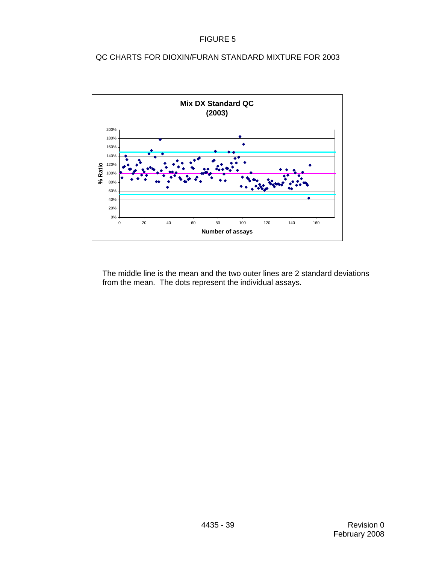### QC CHARTS FOR DIOXIN/FURAN STANDARD MIXTURE FOR 2003

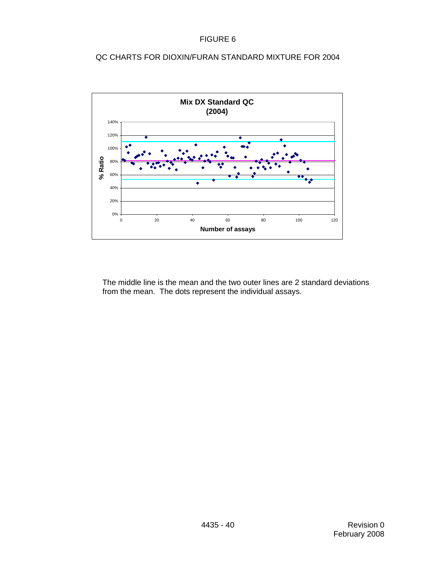### QC CHARTS FOR DIOXIN/FURAN STANDARD MIXTURE FOR 2004

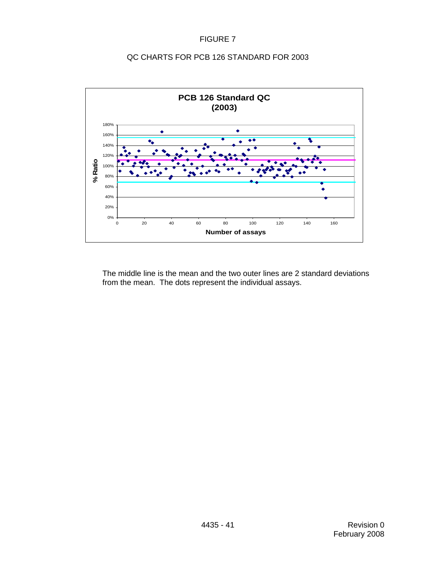### QC CHARTS FOR PCB 126 STANDARD FOR 2003

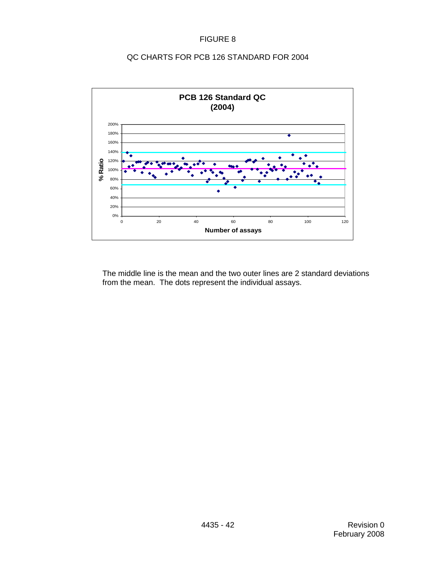### QC CHARTS FOR PCB 126 STANDARD FOR 2004

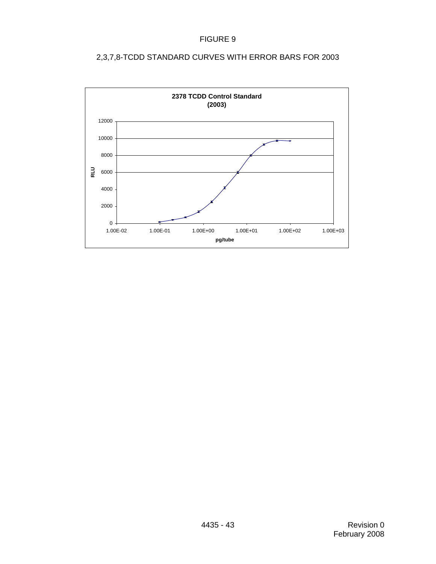

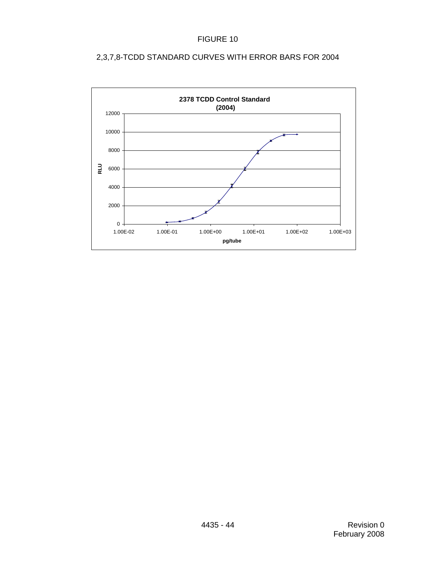

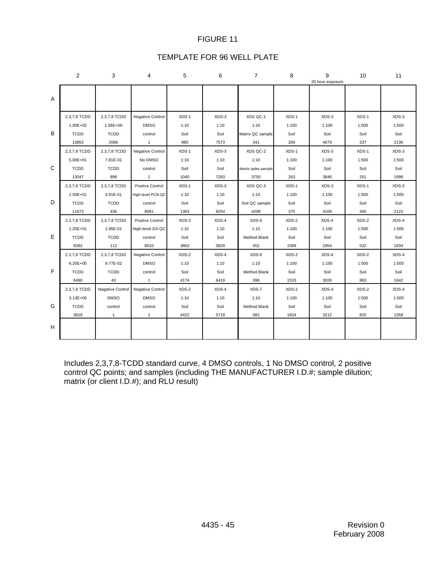#### TEMPLATE FOR 96 WELL PLATE

|    | 2            | 3                | 4                 | 5     | 6     | $\overline{7}$      | 8     | 9<br>20 hour exposure | 10    | 11      |
|----|--------------|------------------|-------------------|-------|-------|---------------------|-------|-----------------------|-------|---------|
| A  |              |                  |                   |       |       |                     |       |                       |       |         |
|    | 2,3,7,8 TCDD | 2,3,7,8 TCDD     | Negative Control  | XDS-1 | XDS-3 | XDS QC-1            | XDS-1 | XDS-3                 | XDS-1 | $XDS-3$ |
|    | $1.00E + 02$ | 1.56E+00         | <b>DMSO</b>       | 1:10  | 1:10  | 1:10                | 1:100 | 1:100                 | 1:500 | 1:500   |
| В  | <b>TCDD</b>  | <b>TCDD</b>      | control           | Soil  | Soil  | Matrix QC sample    | Soil  | Soil                  | Soil  | Soil    |
|    | 13853        | 2066             | $\mathbf{1}$      | 980   | 7573  | 341                 | 269   | 4679                  | 237   | 2136    |
|    | 2,3,7,8 TCDD | 2,3,7,8 TCDD     | Negative Control  | XDS-1 | XDS-3 | XDS QC-2            | XDS-1 | XDS-3                 | XDS-1 | XDS-3   |
|    | $5.00E + 01$ | 7.81E-01         | No DMSO           | 1:10  | 1:10  | 1:10                | 1:100 | 1:100                 | 1:500 | 1:500   |
| C  | <b>TCDD</b>  | <b>TCDD</b>      | control           | Soil  | Soil  | Martix spike sample | Soil  | Soil                  | Soil  | Soil    |
|    | 13047        | 898              | $\mathbf{1}$      | 1040  | 7293  | 3750                | 263   | 3846                  | 251   | 1998    |
|    | 2,3,7,8 TCDD | 2,3,7,8 TCDD     | Postive Control   | XDS-1 | XDS-3 | XDS QC-3            | XDS-1 | XDS-3                 | XDS-1 | XDS-3   |
|    | $2.50E + 01$ | 3.91E-01         | High-level PCB-QC | 1:10  | 1:10  | 1:10                | 1:100 | 1:100                 | 1:500 | 1:500   |
| D  | <b>TCDD</b>  | <b>TCDD</b>      | control           | Soil  | Soil  | Soil QC sample      | Soil  | Soil                  | Soil  | Soil    |
|    | 11673        | 436              | 8081              | 1363  | 8254  | 4208                | 375   | 4106                  | 345   | 2123    |
|    | 2,3,7,8 TCDD | 2,3,7,8 TCDD     | Postive Control   | XDS-2 | XDS-4 | XDS-5               | XDS-2 | XDS-4                 | XDS-2 | XDS-4   |
|    | $1.25E + 01$ | 1.95E-01         | High-level DX-QC  | 1:10  | 1:10  | 1:10                | 1:100 | 1:100                 | 1:500 | 1:500   |
| E  | <b>TCDD</b>  | <b>TCDD</b>      | control           | Soil  | Soil  | <b>Method Blank</b> | Soil  | Soil                  | Soil  | Soil    |
|    | 9382         | 112              | 8010              | 3863  | 5829  | 452                 | 1588  | 2954                  | 532   | 1834    |
|    | 2,3,7,8 TCDD | 2,3,7,8 TCDD     | Negative Control  | XDS-2 | XDS-4 | XDS-6               | XDS-2 | XDS-4                 | XDS-2 | XDS-4   |
|    | $6.25E + 00$ | 9.77E-02         | <b>DMSO</b>       | 1:10  | 1:10  | 1:10                | 1:100 | 1:100                 | 1:500 | 1:500   |
| F  | <b>TCDD</b>  | <b>TCDD</b>      | control           | Soil  | Soil  | Method Blank        | Soil  | Soil                  | Soil  | Soil    |
|    | 6480         | 43               | $\mathbf{1}$      | 4174  | 6419  | 398                 | 1533  | 3026                  | 863   | 1642    |
|    | 2,3,7,8 TCDD | Negative Control | Negative Control  | XDS-2 | XDS-4 | XDS-7               | XDS-2 | XDS-4                 | XDS-2 | XDS-4   |
|    | $3.13E + 00$ | <b>DMSO</b>      | <b>DMSO</b>       | 1:10  | 1:10  | 1:10                | 1:100 | 1:100                 | 1:500 | 1:500   |
| G  | <b>TCDD</b>  | control          | control           | Soil  | Soil  | <b>Method Blank</b> | Soil  | Soil                  | Soil  | Soil    |
|    | 3819         | $\mathbf{1}$     | $\mathbf{1}$      | 4422  | 5719  | 583                 | 1824  | 3212                  | 825   | 1358    |
| H. |              |                  |                   |       |       |                     |       |                       |       |         |

Includes 2,3,7,8-TCDD standard curve, 4 DMSO controls, 1 No DMSO control, 2 positive control QC points; and samples (including THE MANUFACTURER I.D.#; sample dilution; matrix (or client I.D.#); and RLU result)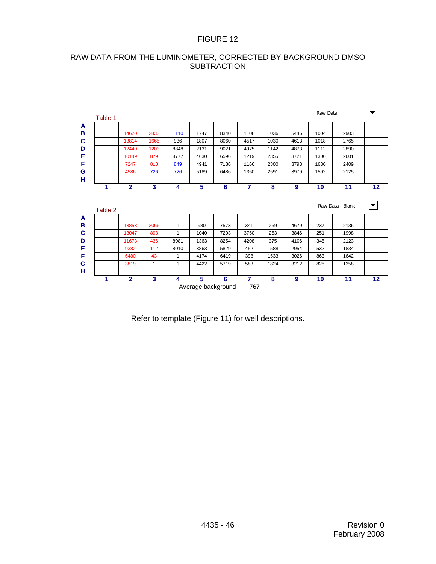# RAW DATA FROM THE LUMINOMETER, CORRECTED BY BACKGROUND DMSO **SUBTRACTION**

|   | Table 1 |                |      |              |                         |                |                       |      |      | Raw Data        |                  | $\blacktriangledown$ |
|---|---------|----------------|------|--------------|-------------------------|----------------|-----------------------|------|------|-----------------|------------------|----------------------|
| A |         |                |      |              |                         |                |                       |      |      |                 |                  |                      |
| B |         | 14620          | 2833 | 1110         | 1747                    | 8340           | 1108                  | 1036 | 5446 | 1004            | 2903             |                      |
| C |         | 13814          | 1665 | 936          | 1807                    | 8060           | 4517                  | 1030 | 4613 | 1018            | 2765             |                      |
| D |         | 12440          | 1203 | 8848         | 2131                    | 9021           | 4975                  | 1142 | 4873 | 1112            | 2890             |                      |
| Е |         | 10149          | 879  | 8777         | 4630                    | 6596           | 1219                  | 2355 | 3721 | 1300            | 2601             |                      |
| F |         | 7247           | 810  | 849          | 4941                    | 7186           | 1166                  | 2300 | 3793 | 1630            | 2409             |                      |
| G |         | 4586           | 726  | 726          | 5189                    | 6486           | 1350                  | 2591 | 3979 | 1592            | 2125             |                      |
| н |         |                |      |              |                         |                |                       |      |      |                 |                  |                      |
|   | 1       | $\overline{2}$ | 3    | 4            | 5                       | 6              | $\overline{7}$        | 8    | 9    | 10              | 11               | 12                   |
|   |         |                |      |              |                         |                |                       |      |      |                 |                  |                      |
|   | Table 2 |                |      |              |                         |                |                       |      |      |                 | Raw Data - Blank | $\blacktriangledown$ |
| A |         |                |      |              |                         |                |                       |      |      |                 |                  |                      |
| B |         | 13853          | 2066 | $\mathbf{1}$ | 980                     | 7573           | 341                   | 269  | 4679 | 237             | 2136             |                      |
| C |         | 13047          | 898  | $\mathbf{1}$ | 1040                    | 7293           | 3750                  | 263  | 3846 | 251             | 1998             |                      |
| D |         | 11673          | 436  | 8081         | 1363                    | 8254           | 4208                  | 375  | 4106 | 345             | 2123             |                      |
| Е |         | 9382           | 112  | 8010         | 3863                    | 5829           | 452                   | 1588 | 2954 | 532             | 1834             |                      |
| F |         | 6480           | 43   | 1            | 4174                    | 6419           | 398                   | 1533 | 3026 | 863             | 1642             |                      |
| G |         | 3819           | 1    | 1            | 4422                    | 5719           | 583                   | 1824 | 3212 | 825             | 1358             |                      |
| н |         |                |      |              |                         |                |                       |      |      |                 |                  |                      |
|   | 1       | $\overline{2}$ | 3    | 4            | 5<br>Average background | $6\phantom{1}$ | $\overline{7}$<br>767 | 8    | 9    | 10 <sup>1</sup> | 11               | 12                   |

Refer to template (Figure 11) for well descriptions.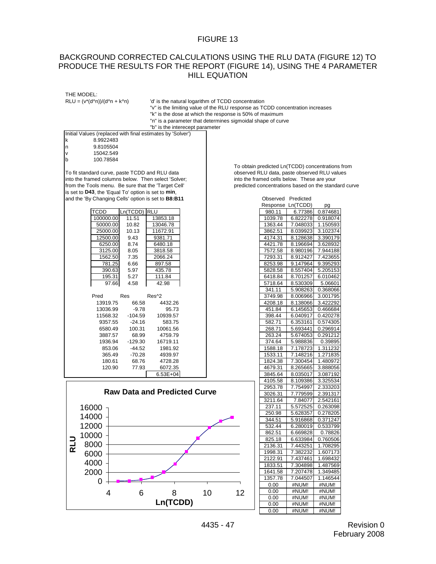#### BACKGROUND CORRECTED CALCULATIONS USING THE RLU DATA (FIGURE 12) TO PRODUCE THE RESULTS FOR THE REPORT (FIGURE 14), USING THE 4 PARAMETER HILL EQUATION

THE MODEL:<br>RLU =  $(v^*(d^n n))/(d^n n + k^n n)$ 

'd' is the natural logarithm of TCDD concentration "v" is the limiting value of the RLU response as TCDD concentration increases "k" is the dose at which the response is 50% of maximum "n" is a parameter that determines sigmoidal shape of curve "b" is the interecept parameter

|                                     |           |              | <b>D</b> is the interecept parameter                       |  |  |  |                    |                                              |                   |
|-------------------------------------|-----------|--------------|------------------------------------------------------------|--|--|--|--------------------|----------------------------------------------|-------------------|
|                                     |           |              | Initial Values (replaced with final estimates by 'Solver') |  |  |  |                    |                                              |                   |
| k                                   | 8.9922483 |              |                                                            |  |  |  |                    |                                              |                   |
| n                                   | 9.8105504 |              |                                                            |  |  |  |                    |                                              |                   |
| V                                   | 15042.549 |              |                                                            |  |  |  |                    |                                              |                   |
| b                                   | 100.78584 |              |                                                            |  |  |  |                    |                                              |                   |
|                                     |           |              |                                                            |  |  |  |                    | To obtain predicted Ln(TCDD) concentrations  |                   |
|                                     |           |              | To fit standard curve, paste TCDD and RLU data             |  |  |  |                    | observed RLU data, paste observed RLU valu   |                   |
|                                     |           |              | into the framed columns below. Then select 'Solver;        |  |  |  |                    | into the framed cells below. These are your  |                   |
|                                     |           |              | from the Tools menu. Be sure that the 'Target Cell'        |  |  |  |                    | predicted concentrations based on the standa |                   |
|                                     |           |              | is set to D43, the 'Equal To' option is set to min,        |  |  |  |                    |                                              |                   |
|                                     |           |              | and the 'By Changing Cells' option is set to B8:B11        |  |  |  | Observed Predicted |                                              |                   |
|                                     |           |              |                                                            |  |  |  | Response Ln(TCDD)  |                                              | pg                |
|                                     | TCDD      | Ln(TCDD) RLU |                                                            |  |  |  | 980.11             | 6.77386                                      | 0.874681          |
|                                     | 100000.00 | 11.51        | 13853.18                                                   |  |  |  | 1039.78            | 6.822278                                     | 0.918074          |
|                                     | 50000.00  | 10.82        | 13046.78                                                   |  |  |  | 1363.44            | 7.048033                                     | 1.150593          |
|                                     | 25000.00  | 10.13        | 11672.91                                                   |  |  |  | 3862.51            | 8.039923                                     | 3.102374          |
|                                     | 12500.00  | 9.43         | 9381.71                                                    |  |  |  | 4174.31            | 8.128638                                     | 3.390179          |
|                                     | 6250.00   | 8.74         | 6480.18                                                    |  |  |  | 4421.78            | 8.196694                                     | 3.628932          |
|                                     | 3125.00   | 8.05         | 3818.58                                                    |  |  |  | 7572.58            | 8.980196                                     | 7.944188          |
|                                     | 1562.50   | 7.35         | 2066.24                                                    |  |  |  | 7293.31            | 8.912427                                     | 7.423655          |
|                                     | 781.25    | 6.66         | 897.58                                                     |  |  |  | 8253.98            | 9.147964                                     | 9.395293          |
|                                     | 390.63    | 5.97         | 435.78                                                     |  |  |  | 5828.58            | 8.557404                                     | 5.205153          |
|                                     | 195.31    | 5.27         | 111.84                                                     |  |  |  | 6418.84            | 8.701257                                     | 6.010462          |
|                                     | 97.66     | 4.58         | 42.98                                                      |  |  |  | 5718.64            | 8.530309                                     | 5.06601           |
|                                     |           |              |                                                            |  |  |  | 341.11             | 5.908263                                     | 0.368066          |
|                                     | Pred      | Res          | Res^2                                                      |  |  |  | 3749.98            | 8.006966                                     | 3.001795          |
|                                     | 13919.75  | 66.58        | 4432.26                                                    |  |  |  | 4208.18            | 8.138066                                     | 3.422292          |
|                                     | 13036.99  | $-9.78$      | 95.73                                                      |  |  |  | 451.84             | 6.145653                                     | 0.466684          |
|                                     | 11568.32  | $-104.59$    | 10939.57                                                   |  |  |  | 398.44             | 6.040917                                     | 0.420278          |
|                                     | 9357.55   | $-24.16$     | 583.75                                                     |  |  |  | 582.71             | 6.353161                                     | 0.574305          |
|                                     | 6580.49   | 100.31       | 10061.56                                                   |  |  |  | 268.71             | 5.693441                                     | 0.296914          |
|                                     | 3887.57   | 68.99        | 4759.79                                                    |  |  |  | 263.24             | 5.674053                                     | 0.291212          |
|                                     | 1936.94   | $-129.30$    | 16719.11                                                   |  |  |  | 374.64             | 5.988836                                     | 0.39895           |
|                                     | 853.06    | $-44.52$     | 1981.92                                                    |  |  |  | 1588.18            | 7.178723                                     | 1.311232          |
|                                     | 365.49    | $-70.28$     | 4939.97                                                    |  |  |  | 1533.11            | 7.148216                                     | 1.271835          |
|                                     | 180.61    | 68.76        | 4728.28                                                    |  |  |  | 1824.38            | 7.300454                                     | 1.480972          |
|                                     | 120.90    | 77.93        | 6072.35                                                    |  |  |  | 4679.31            | 8.265665                                     | 3.888056          |
|                                     |           |              | $6.53E + 04$                                               |  |  |  | 3845.64            | 8.035017                                     | 3.087192          |
|                                     |           |              |                                                            |  |  |  | 4105.58            | 8.109386                                     | 3.325534          |
|                                     |           |              |                                                            |  |  |  | 2953.78            | 7.754997                                     | 2.333203          |
| <b>Raw Data and Predicted Curve</b> |           |              |                                                            |  |  |  | 3026.31            |                                              | 7.779599 2.391317 |



To obtain predicted Ln(TCDD) concentrations from observed RLU data, paste observed RLU values into the framed cells below. These are your predicted concentrations based on the standard curve

| , , , , , , , , , , , , , , , , |    |         |                   |          |
|---------------------------------|----|---------|-------------------|----------|
|                                 |    |         | Response Ln(TCDD) | pg       |
|                                 |    | 980.11  | 6.77386           | 0.874681 |
| 3853.18                         |    | 1039.78 | 6.822278          | 0.918074 |
| 3046.78                         |    | 1363.44 | 7.048033          | 1.150593 |
| 1672.91                         |    | 3862.51 | 8.039923          | 3.102374 |
| 381.71                          |    | 4174.31 | 8.128638          | 3.390179 |
| 480.18                          |    | 4421.78 | 8.196694          | 3.628932 |
| 818.58                          |    | 7572.58 | 8.980196          | 7.944188 |
| 066.24                          |    | 7293.31 | 8.912427          | 7.423655 |
| 397.58                          |    | 8253.98 | 9.147964          | 9.395293 |
| 435.78                          |    | 5828.58 | 8.557404          | 5.205153 |
| 111.84                          |    | 6418.84 | 8.701257          | 6.010462 |
| 42.98                           |    | 5718.64 | 8.530309          | 5.06601  |
|                                 |    | 341.11  | 5.908263          | 0.368066 |
| ^2                              |    | 3749.98 | 8.006966          | 3.001795 |
| 4432.26                         |    | 4208.18 | 8.138066          | 3.422292 |
| 95.73                           |    | 451.84  | 6.145653          | 0.466684 |
| 10939.57                        |    | 398.44  | 6.040917          | 0.420278 |
| 583.75                          |    | 582.71  | 6.353161          | 0.574305 |
| 10061.56                        |    | 268.71  | 5.693441          | 0.296914 |
| 4759.79                         |    | 263.24  | 5.674053          | 0.291212 |
| 16719.11                        |    | 374.64  | 5.988836          | 0.39895  |
| 1981.92                         |    | 1588.18 | 7.178723          | 1.311232 |
| 4939.97                         |    | 1533.11 | 7.148216          | 1.271835 |
| 4728.28                         |    | 1824.38 | 7.300454          | 1.480972 |
| 6072.35                         |    | 4679.31 | 8.265665          | 3.888056 |
| $6.53E + 04$                    |    | 3845.64 | 8.035017          | 3.087192 |
|                                 |    | 4105.58 | 8.109386          | 3.325534 |
|                                 |    | 2953.78 | 7.754997          | 2.333203 |
| <b>Predicted Curve</b>          |    | 3026.31 | 7.779599          | 2.391317 |
|                                 |    | 3211.64 | 7.84077           | 2.542161 |
|                                 |    | 237.11  | 5.572525          | 0.263098 |
|                                 |    | 250.98  | 5.628357          | 0.278205 |
|                                 |    | 344.51  | 5.916868          | 0.371247 |
|                                 |    | 532.44  | 6.280019          | 0.533799 |
|                                 |    | 862.51  | 6.669828          | 0.78826  |
|                                 |    | 825.18  | 6.633984          | 0.760506 |
|                                 |    | 2136.31 | 7.443251          | 1.708295 |
|                                 |    | 1998.31 | 7.382232          | 1.607173 |
|                                 |    | 2122.91 | 7.437461          | 1.698432 |
|                                 |    | 1833.51 | 7.304898          | 1.487569 |
|                                 |    | 1641.58 | 7.207478          | 1.349485 |
|                                 |    | 1357.78 | 7.044507          | 1.146544 |
|                                 |    | 0.00    | #NUM!             | #NUM!    |
| 10<br>8                         | 12 | 0.00    | #NUM!             | #NUM!    |
|                                 |    | 0.00    | #NUM!             | #NUM!    |
|                                 |    |         |                   |          |
| <b>Ln(TCDD)</b>                 |    | 0.00    | #NUM!             | #NUM!    |

4435 - 47 Revision 0 February 2008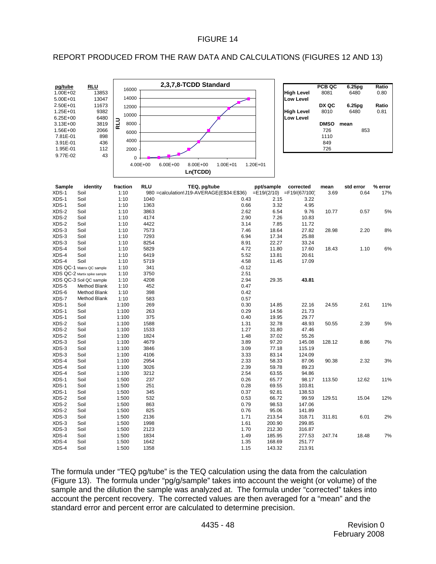### REPORT PRODUCED FROM THE RAW DATA AND CALCULATIONS (FIGURES 12 AND 13)



|                   | PCB QC      | 6.25 <sub>pg</sub> | Ratio |
|-------------------|-------------|--------------------|-------|
| <b>High Level</b> | 8081        | 6480               | 0.80  |
| <b>Low Level</b>  |             |                    |       |
|                   | DX QC       | 6.25 <sub>pg</sub> | Ratio |
| <b>High Level</b> | 8010        | 6480               | 0.81  |
| <b>Low Level</b>  |             |                    |       |
|                   | <b>DMSO</b> | mean               |       |
|                   | 726         | 853                |       |
|                   | 1110        |                    |       |
|                   | 849         |                    |       |
|                   | 726         |                    |       |

| Sample | identity                     | fraction | <b>RLU</b> | TEQ, pg/tube                                                            | ppt/sample | corrected | mean   | std error | % error |
|--------|------------------------------|----------|------------|-------------------------------------------------------------------------|------------|-----------|--------|-----------|---------|
| XDS-1  | Soil                         | 1:10     |            | 980 = calculation! J19-AVERAGE(E\$34:E\$36) = E19/(2/10) = F19/(67/100) |            |           | 3.69   | 0.64      | 17%     |
| XDS-1  | Soil                         | 1:10     | 1040       | 0.43                                                                    | 2.15       | 3.22      |        |           |         |
| XDS-1  | Soil                         | 1:10     | 1363       | 0.66                                                                    | 3.32       | 4.95      |        |           |         |
| XDS-2  | Soil                         | 1:10     | 3863       | 2.62                                                                    | 6.54       | 9.76      | 10.77  | 0.57      | 5%      |
| XDS-2  | Soil                         | 1:10     | 4174       | 2.90                                                                    | 7.26       | 10.83     |        |           |         |
| XDS-2  | Soil                         | 1:10     | 4422       | 3.14                                                                    | 7.85       | 11.72     |        |           |         |
| XDS-3  | Soil                         | 1:10     | 7573       | 7.46                                                                    | 18.64      | 27.82     | 28.98  | 2.20      | 8%      |
| XDS-3  | Soil                         | 1:10     | 7293       | 6.94                                                                    | 17.34      | 25.88     |        |           |         |
| XDS-3  | Soil                         | 1:10     | 8254       | 8.91                                                                    | 22.27      | 33.24     |        |           |         |
| XDS-4  | Soil                         | 1:10     | 5829       | 4.72                                                                    | 11.80      | 17.60     | 18.43  | 1.10      | 6%      |
| XDS-4  | Soil                         | 1:10     | 6419       | 5.52                                                                    | 13.81      | 20.61     |        |           |         |
| XDS-4  | Soil                         | 1:10     | 5719       | 4.58                                                                    | 11.45      | 17.09     |        |           |         |
|        | XDS QC-1 Matrix QC sample    | 1:10     | 341        | $-0.12$                                                                 |            |           |        |           |         |
|        | XDS QC-2 Martix spike sample | 1:10     | 3750       | 2.51                                                                    |            |           |        |           |         |
|        | XDS QC-3 Soil QC sample      | 1:10     | 4208       | 2.94                                                                    | 29.35      | 43.81     |        |           |         |
| XDS-5  | Method Blank                 | 1:10     | 452        | 0.47                                                                    |            |           |        |           |         |
| XDS-6  | Method Blank                 | 1:10     | 398        | 0.42                                                                    |            |           |        |           |         |
| XDS-7  | Method Blank                 | 1:10     | 583        | 0.57                                                                    |            |           |        |           |         |
| XDS-1  | Soil                         | 1:100    | 269        | 0.30                                                                    | 14.85      | 22.16     | 24.55  | 2.61      | 11%     |
| XDS-1  | Soil                         | 1:100    | 263        | 0.29                                                                    | 14.56      | 21.73     |        |           |         |
| XDS-1  | Soil                         | 1:100    | 375        | 0.40                                                                    | 19.95      | 29.77     |        |           |         |
| XDS-2  | Soil                         | 1:100    | 1588       | 1.31                                                                    | 32.78      | 48.93     | 50.55  | 2.39      | 5%      |
| XDS-2  | Soil                         | 1:100    | 1533       | 1.27                                                                    | 31.80      | 47.46     |        |           |         |
| XDS-2  | Soil                         | 1:100    | 1824       | 1.48                                                                    | 37.02      | 55.26     |        |           |         |
| XDS-3  | Soil                         | 1:100    | 4679       | 3.89                                                                    | 97.20      | 145.08    | 128.12 | 8.86      | 7%      |
| XDS-3  | Soil                         | 1:100    | 3846       | 3.09                                                                    | 77.18      | 115.19    |        |           |         |
| XDS-3  | Soil                         | 1:100    | 4106       | 3.33                                                                    | 83.14      | 124.09    |        |           |         |
| XDS-4  | Soil                         | 1:100    | 2954       | 2.33                                                                    | 58.33      | 87.06     | 90.38  | 2.32      | 3%      |
| XDS-4  | Soil                         | 1:100    | 3026       | 2.39                                                                    | 59.78      | 89.23     |        |           |         |
| XDS-4  | Soil                         | 1:100    | 3212       | 2.54                                                                    | 63.55      | 94.86     |        |           |         |
| XDS-1  | Soil                         | 1:500    | 237        | 0.26                                                                    | 65.77      | 98.17     | 113.50 | 12.62     | 11%     |
| XDS-1  | Soil                         | 1:500    | 251        | 0.28                                                                    | 69.55      | 103.81    |        |           |         |
| XDS-1  | Soil                         | 1:500    | 345        | 0.37                                                                    | 92.81      | 138.53    |        |           |         |
| XDS-2  | Soil                         | 1:500    | 532        | 0.53                                                                    | 66.72      | 99.59     | 129.51 | 15.04     | 12%     |
| XDS-2  | Soil                         | 1:500    | 863        | 0.79                                                                    | 98.53      | 147.06    |        |           |         |
| XDS-2  | Soil                         | 1:500    | 825        | 0.76                                                                    | 95.06      | 141.89    |        |           |         |
| XDS-3  | Soil                         | 1:500    | 2136       | 1.71                                                                    | 213.54     | 318.71    | 311.81 | 6.01      | 2%      |
| XDS-3  | Soil                         | 1:500    | 1998       | 1.61                                                                    | 200.90     | 299.85    |        |           |         |
| XDS-3  | Soil                         | 1:500    | 2123       | 1.70                                                                    | 212.30     | 316.87    |        |           |         |
| XDS-4  | Soil                         | 1:500    | 1834       | 1.49                                                                    | 185.95     | 277.53    | 247.74 | 18.48     | 7%      |
| XDS-4  | Soil                         | 1:500    | 1642       | 1.35                                                                    | 168.69     | 251.77    |        |           |         |
| XDS-4  | Soil                         | 1:500    | 1358       | 1.15                                                                    | 143.32     | 213.91    |        |           |         |

The formula under "TEQ pg/tube" is the TEQ calculation using the data from the calculation (Figure 13). The formula under "pg/g/sample" takes into account the weight (or volume) of the sample and the dilution the sample was analyzed at. The formula under "corrected" takes into account the percent recovery. The corrected values are then averaged for a "mean" and the standard error and percent error are calculated to determine precision.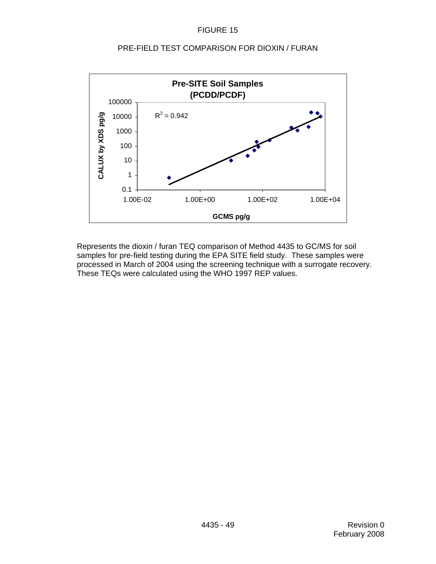

#### PRE-FIELD TEST COMPARISON FOR DIOXIN / FURAN

Represents the dioxin / furan TEQ comparison of Method 4435 to GC/MS for soil samples for pre-field testing during the EPA SITE field study. These samples were processed in March of 2004 using the screening technique with a surrogate recovery. These TEQs were calculated using the WHO 1997 REP values.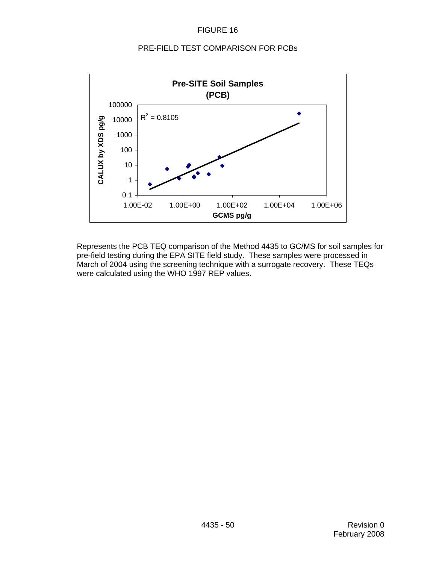#### PRE-FIELD TEST COMPARISON FOR PCBs



Represents the PCB TEQ comparison of the Method 4435 to GC/MS for soil samples for pre-field testing during the EPA SITE field study. These samples were processed in March of 2004 using the screening technique with a surrogate recovery. These TEQs were calculated using the WHO 1997 REP values.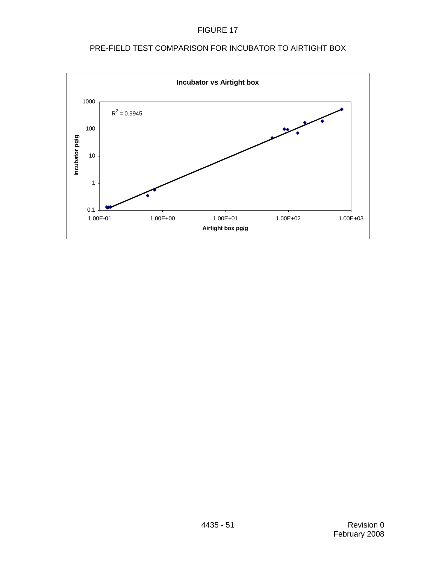FIGURE 17



# PRE-FIELD TEST COMPARISON FOR INCUBATOR TO AIRTIGHT BOX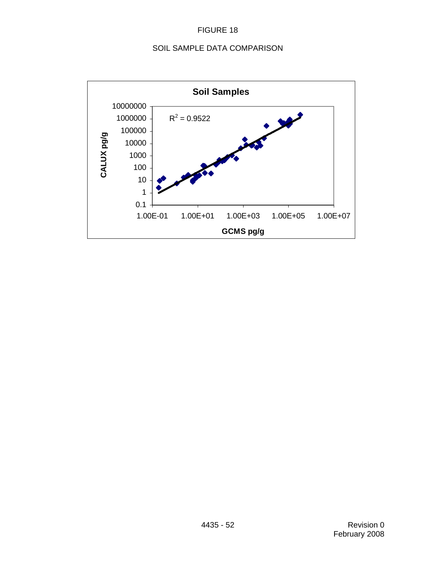# SOIL SAMPLE DATA COMPARISON

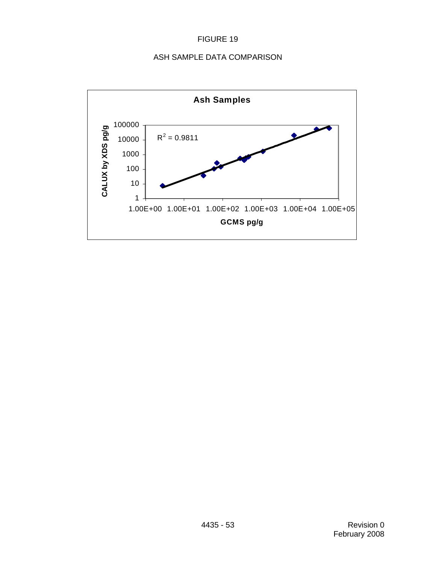# ASH SAMPLE DATA COMPARISON

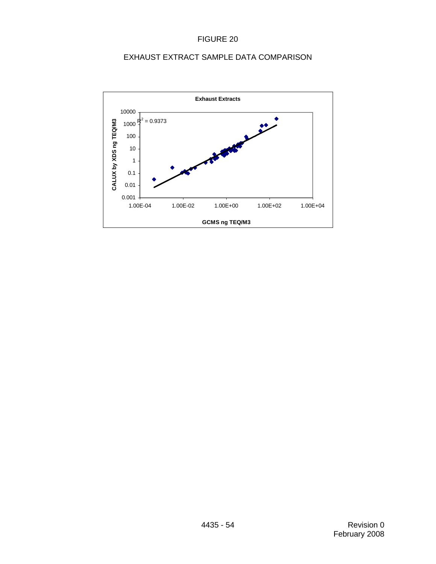# EXHAUST EXTRACT SAMPLE DATA COMPARISON

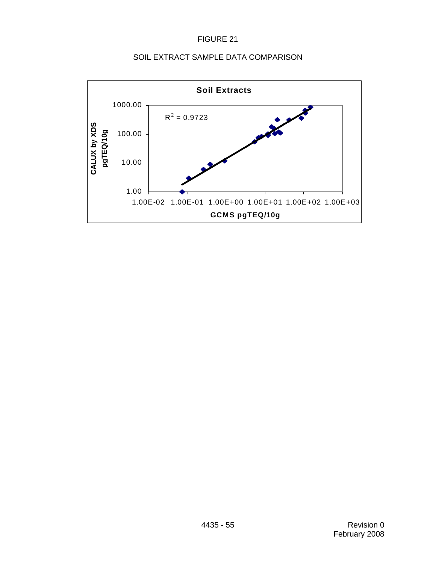### SOIL EXTRACT SAMPLE DATA COMPARISON

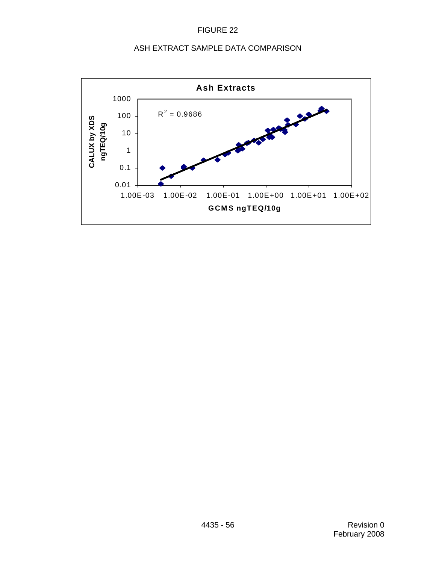### ASH EXTRACT SAMPLE DATA COMPARISON

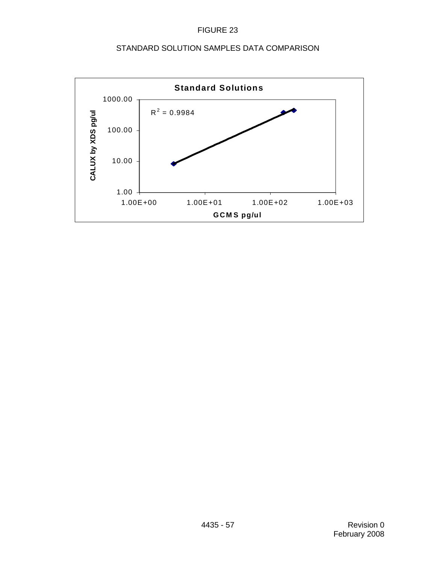# STANDARD SOLUTION SAMPLES DATA COMPARISON